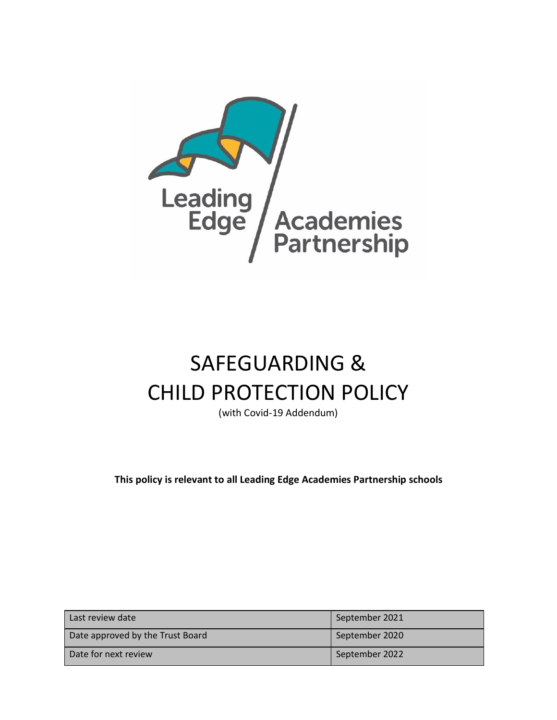

# SAFEGUARDING & CHILD PROTECTION POLICY

(with Covid-19 Addendum)

**This policy is relevant to all Leading Edge Academies Partnership schools**

| Last review date                 | September 2021 |
|----------------------------------|----------------|
| Date approved by the Trust Board | September 2020 |
| Date for next review             | September 2022 |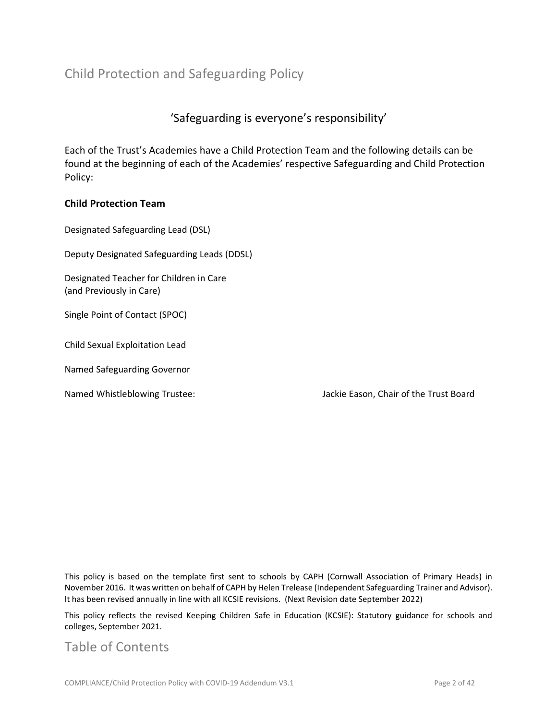# Child Protection and Safeguarding Policy

## 'Safeguarding is everyone's responsibility'

Each of the Trust's Academies have a Child Protection Team and the following details can be found at the beginning of each of the Academies' respective Safeguarding and Child Protection Policy:

#### **Child Protection Team**

Designated Safeguarding Lead (DSL)

Deputy Designated Safeguarding Leads (DDSL)

Designated Teacher for Children in Care (and Previously in Care)

Single Point of Contact (SPOC)

Child Sexual Exploitation Lead

Named Safeguarding Governor

Named Whistleblowing Trustee: Jackie Eason, Chair of the Trust Board

This policy is based on the template first sent to schools by CAPH (Cornwall Association of Primary Heads) in November 2016. It was written on behalf of CAPH by Helen Trelease (Independent Safeguarding Trainer and Advisor). It has been revised annually in line with all KCSIE revisions. (Next Revision date September 2022)

This policy reflects the revised Keeping Children Safe in Education (KCSIE): Statutory guidance for schools and colleges, September 2021.

## Table of Contents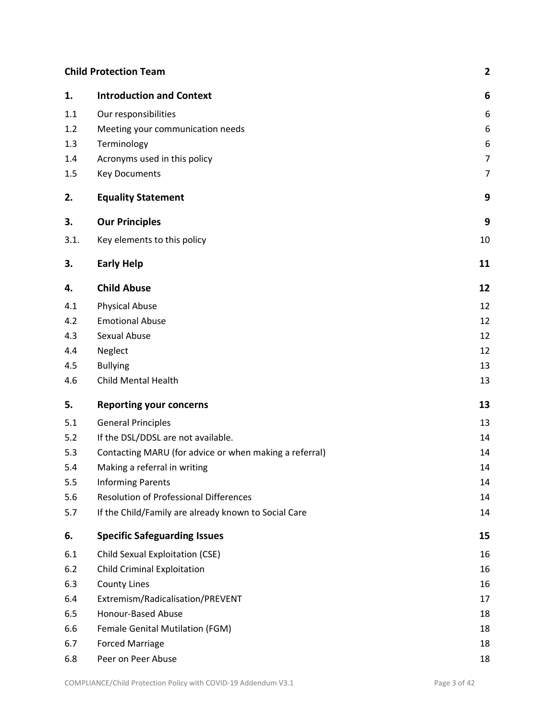## **Child Protection Team 2**

| 1.   | <b>Introduction and Context</b>                        | 6              |
|------|--------------------------------------------------------|----------------|
| 1.1  | Our responsibilities                                   | 6              |
| 1.2  | Meeting your communication needs                       | 6              |
| 1.3  | Terminology                                            | 6              |
| 1.4  | Acronyms used in this policy                           | 7              |
| 1.5  | <b>Key Documents</b>                                   | $\overline{7}$ |
| 2.   | <b>Equality Statement</b>                              | 9              |
| 3.   | <b>Our Principles</b>                                  | 9              |
| 3.1. | Key elements to this policy                            | 10             |
| 3.   | <b>Early Help</b>                                      | 11             |
| 4.   | <b>Child Abuse</b>                                     | 12             |
| 4.1  | <b>Physical Abuse</b>                                  | 12             |
| 4.2  | <b>Emotional Abuse</b>                                 | 12             |
| 4.3  | Sexual Abuse                                           | 12             |
| 4.4  | Neglect                                                | 12             |
| 4.5  | <b>Bullying</b>                                        | 13             |
| 4.6  | <b>Child Mental Health</b>                             | 13             |
| 5.   | <b>Reporting your concerns</b>                         | 13             |
| 5.1  | <b>General Principles</b>                              | 13             |
| 5.2  | If the DSL/DDSL are not available.                     | 14             |
| 5.3  | Contacting MARU (for advice or when making a referral) | 14             |
| 5.4  | Making a referral in writing                           | 14             |
| 5.5  | <b>Informing Parents</b>                               | 14             |
| 5.6  | <b>Resolution of Professional Differences</b>          | 14             |
| 5.7  | If the Child/Family are already known to Social Care   | 14             |
| 6.   | <b>Specific Safeguarding Issues</b>                    | 15             |
| 6.1  | Child Sexual Exploitation (CSE)                        | 16             |
| 6.2  | <b>Child Criminal Exploitation</b>                     | 16             |
| 6.3  | <b>County Lines</b>                                    | 16             |
| 6.4  | Extremism/Radicalisation/PREVENT                       | 17             |
| 6.5  | Honour-Based Abuse                                     | 18             |
| 6.6  | Female Genital Mutilation (FGM)                        | 18             |
| 6.7  | <b>Forced Marriage</b>                                 | 18             |
| 6.8  | Peer on Peer Abuse                                     | 18             |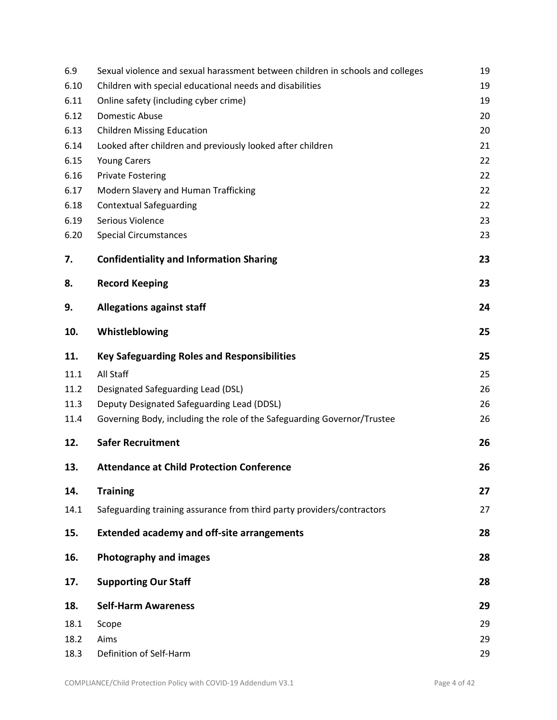| 6.9  | Sexual violence and sexual harassment between children in schools and colleges | 19 |
|------|--------------------------------------------------------------------------------|----|
| 6.10 | Children with special educational needs and disabilities                       | 19 |
| 6.11 | Online safety (including cyber crime)                                          | 19 |
| 6.12 | <b>Domestic Abuse</b>                                                          | 20 |
| 6.13 | <b>Children Missing Education</b>                                              | 20 |
| 6.14 | Looked after children and previously looked after children                     | 21 |
| 6.15 | <b>Young Carers</b>                                                            | 22 |
| 6.16 | <b>Private Fostering</b>                                                       | 22 |
| 6.17 | Modern Slavery and Human Trafficking                                           | 22 |
| 6.18 | <b>Contextual Safeguarding</b>                                                 | 22 |
| 6.19 | Serious Violence                                                               | 23 |
| 6.20 | <b>Special Circumstances</b>                                                   | 23 |
| 7.   | <b>Confidentiality and Information Sharing</b>                                 | 23 |
| 8.   | <b>Record Keeping</b>                                                          | 23 |
| 9.   | <b>Allegations against staff</b>                                               | 24 |
| 10.  | Whistleblowing                                                                 | 25 |
| 11.  | <b>Key Safeguarding Roles and Responsibilities</b>                             | 25 |
| 11.1 | All Staff                                                                      | 25 |
| 11.2 | Designated Safeguarding Lead (DSL)                                             | 26 |
| 11.3 | Deputy Designated Safeguarding Lead (DDSL)                                     | 26 |
| 11.4 | Governing Body, including the role of the Safeguarding Governor/Trustee        | 26 |
| 12.  | <b>Safer Recruitment</b>                                                       | 26 |
| 13.  | <b>Attendance at Child Protection Conference</b>                               | 26 |
| 14.  | <b>Training</b>                                                                | 27 |
| 14.1 | Safeguarding training assurance from third party providers/contractors         | 27 |
| 15.  | <b>Extended academy and off-site arrangements</b>                              | 28 |
| 16.  | <b>Photography and images</b>                                                  | 28 |
| 17.  | <b>Supporting Our Staff</b>                                                    | 28 |
| 18.  | <b>Self-Harm Awareness</b>                                                     | 29 |
| 18.1 | Scope                                                                          | 29 |
| 18.2 | Aims                                                                           | 29 |
| 18.3 | Definition of Self-Harm                                                        | 29 |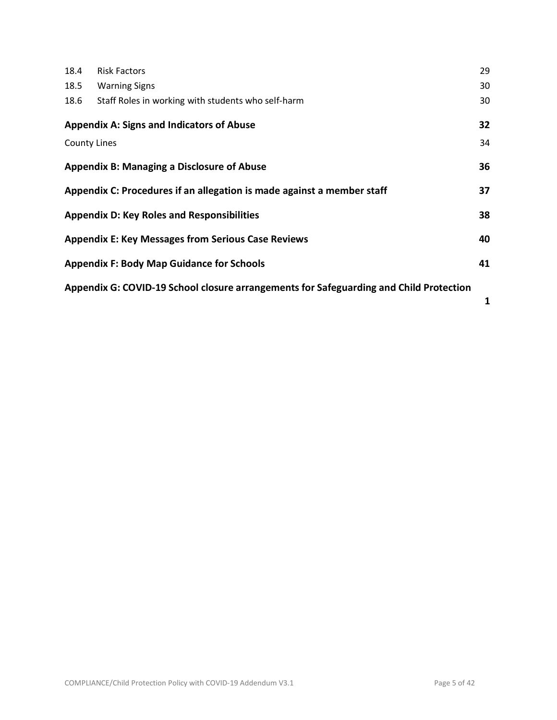| 18.4                | <b>Risk Factors</b>                                                                    | 29 |
|---------------------|----------------------------------------------------------------------------------------|----|
| 18.5                | <b>Warning Signs</b>                                                                   | 30 |
| 18.6                | Staff Roles in working with students who self-harm                                     | 30 |
|                     | <b>Appendix A: Signs and Indicators of Abuse</b>                                       | 32 |
| <b>County Lines</b> |                                                                                        | 34 |
|                     | <b>Appendix B: Managing a Disclosure of Abuse</b>                                      | 36 |
|                     | Appendix C: Procedures if an allegation is made against a member staff                 | 37 |
|                     | <b>Appendix D: Key Roles and Responsibilities</b>                                      | 38 |
|                     | <b>Appendix E: Key Messages from Serious Case Reviews</b>                              | 40 |
|                     | <b>Appendix F: Body Map Guidance for Schools</b>                                       | 41 |
|                     | Appendix G: COVID-19 School closure arrangements for Safeguarding and Child Protection |    |

**1**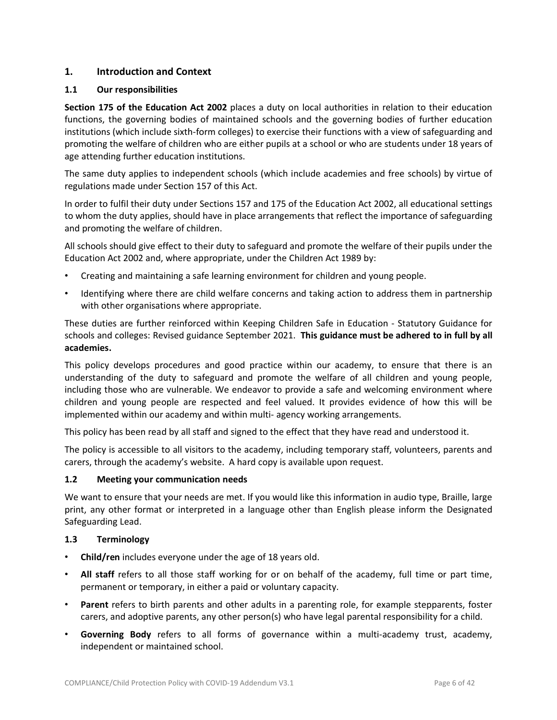## **1. Introduction and Context**

#### **1.1 Our responsibilities**

**Section 175 of the Education Act 2002** places a duty on local authorities in relation to their education functions, the governing bodies of maintained schools and the governing bodies of further education institutions (which include sixth-form colleges) to exercise their functions with a view of safeguarding and promoting the welfare of children who are either pupils at a school or who are students under 18 years of age attending further education institutions.

The same duty applies to independent schools (which include academies and free schools) by virtue of regulations made under Section 157 of this Act.

In order to fulfil their duty under Sections 157 and 175 of the Education Act 2002, all educational settings to whom the duty applies, should have in place arrangements that reflect the importance of safeguarding and promoting the welfare of children.

All schools should give effect to their duty to safeguard and promote the welfare of their pupils under the Education Act 2002 and, where appropriate, under the Children Act 1989 by:

- Creating and maintaining a safe learning environment for children and young people.
- Identifying where there are child welfare concerns and taking action to address them in partnership with other organisations where appropriate.

These duties are further reinforced within Keeping Children Safe in Education - Statutory Guidance for schools and colleges: Revised guidance September 2021. **This guidance must be adhered to in full by all academies.**

This policy develops procedures and good practice within our academy, to ensure that there is an understanding of the duty to safeguard and promote the welfare of all children and young people, including those who are vulnerable. We endeavor to provide a safe and welcoming environment where children and young people are respected and feel valued. It provides evidence of how this will be implemented within our academy and within multi- agency working arrangements.

This policy has been read by all staff and signed to the effect that they have read and understood it.

The policy is accessible to all visitors to the academy, including temporary staff, volunteers, parents and carers, through the academy's website. A hard copy is available upon request.

#### **1.2 Meeting your communication needs**

We want to ensure that your needs are met. If you would like this information in audio type, Braille, large print, any other format or interpreted in a language other than English please inform the Designated Safeguarding Lead.

#### **1.3 Terminology**

- **Child/ren** includes everyone under the age of 18 years old.
- **All staff** refers to all those staff working for or on behalf of the academy, full time or part time, permanent or temporary, in either a paid or voluntary capacity.
- **Parent** refers to birth parents and other adults in a parenting role, for example stepparents, foster carers, and adoptive parents, any other person(s) who have legal parental responsibility for a child.
- **Governing Body** refers to all forms of governance within a multi-academy trust, academy, independent or maintained school.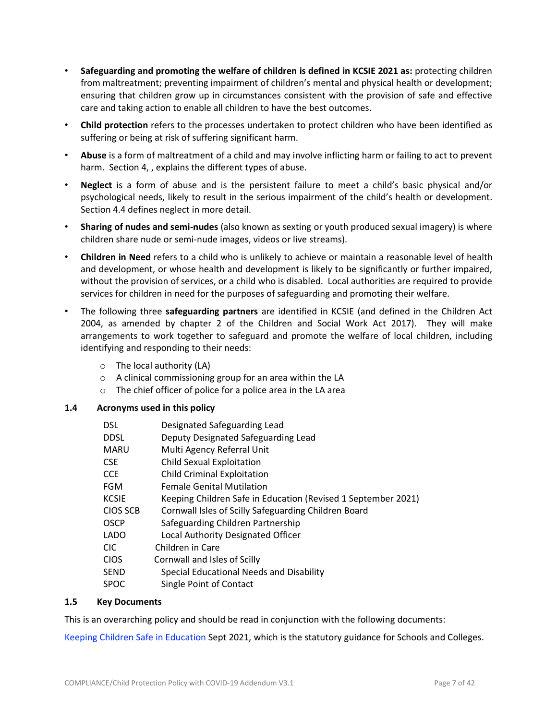- **Safeguarding and promoting the welfare of children is defined in KCSIE 2021 as:** protecting children from maltreatment; preventing impairment of children's mental and physical health or development; ensuring that children grow up in circumstances consistent with the provision of safe and effective care and taking action to enable all children to have the best outcomes.
- **Child protection** refers to the processes undertaken to protect children who have been identified as suffering or being at risk of suffering significant harm.
- **Abuse** is a form of maltreatment of a child and may involve inflicting harm or failing to act to prevent harm. Section 4, , explains the different types of abuse.
- **Neglect** is a form of abuse and is the persistent failure to meet a child's basic physical and/or psychological needs, likely to result in the serious impairment of the child's health or development. Section 4.4 defines neglect in more detail.
- **Sharing of nudes and semi-nudes** (also known as sexting or youth produced sexual imagery) is where children share nude or semi-nude images, videos or live streams).
- **Children in Need** refers to a child who is unlikely to achieve or maintain a reasonable level of health and development, or whose health and development is likely to be significantly or further impaired, without the provision of services, or a child who is disabled. Local authorities are required to provide services for children in need for the purposes of safeguarding and promoting their welfare.
- The following three **safeguarding partners** are identified in KCSIE (and defined in the Children Act 2004, as amended by chapter 2 of the Children and Social Work Act 2017). They will make arrangements to work together to safeguard and promote the welfare of local children, including identifying and responding to their needs:
	- $\circ$  The local authority (LA)
	- o A clinical commissioning group for an area within the LA
	- o The chief officer of police for a police area in the LA area
- **1.4 Acronyms used in this policy**

| <b>DSL</b>      | Designated Safeguarding Lead                                  |
|-----------------|---------------------------------------------------------------|
| <b>DDSL</b>     | Deputy Designated Safeguarding Lead                           |
| <b>MARU</b>     | Multi Agency Referral Unit                                    |
| <b>CSE</b>      | <b>Child Sexual Exploitation</b>                              |
| <b>CCE</b>      | <b>Child Criminal Exploitation</b>                            |
| FGM             | <b>Female Genital Mutilation</b>                              |
| <b>KCSIE</b>    | Keeping Children Safe in Education (Revised 1 September 2021) |
| <b>CIOS SCB</b> | Cornwall Isles of Scilly Safeguarding Children Board          |
| <b>OSCP</b>     | Safeguarding Children Partnership                             |
| <b>LADO</b>     | Local Authority Designated Officer                            |
| CIC.            | Children in Care                                              |
| <b>CIOS</b>     | Cornwall and Isles of Scilly                                  |
| <b>SEND</b>     | Special Educational Needs and Disability                      |
| <b>SPOC</b>     | Single Point of Contact                                       |
|                 |                                                               |

#### **1.5 Key Documents**

This is an overarching policy and should be read in conjunction with the following documents:

Keeping Children Safe in [Education](https://www.gov.uk/government/publications/keeping-children-safe-in-education--2) Sept 2021, which is the statutory guidance for Schools and Colleges.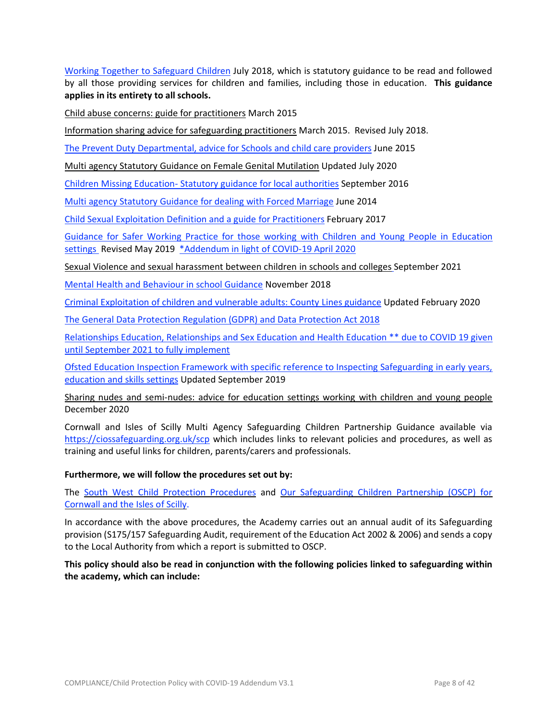Working Together to [Safeguard](http://www.workingtogetheronline.co.uk/index.html) Children July 2018, which is statutory guidance to be read and followed by all those providing services for children and families, including those in education. **This guidance applies in its entirety to all schools.**

Child abuse concerns: guide for [practitioners](https://www.gov.uk/government/publications/what-to-do-if-youre-worried-a-child-is-being-abused--2) March 2015

Information sharing advice for [safeguarding](https://www.gov.uk/government/publications/safeguarding-practitioners-information-sharing-advice) practitioners March 2015. Revised July 2018.

The Prevent Duty [Departmental,](https://www.gov.uk/government/publications/protecting-children-from-radicalisation-the-prevent-duty) advice for Schools and child care providers June 2015

Multi agency Statutory Guidance on Female Genital [Mutilation](https://www.gov.uk/government/publications/multi-agency-statutory-guidance-on-female-genital-mutilation) Updated July 2020

Children Missing Education- Statutory guidance for local [authorities](https://www.gov.uk/government/uploads/system/uploads/attachment_data/file/550416/Children_Missing_Education_-_statutory_guidance.pdf) September 2016

Multi agency Statutory [Guidance](https://assets.publishing.service.gov.uk/government/uploads/system/uploads/attachment_data/file/322307/HMG_MULTI_AGENCY_PRACTICE_GUIDELINES_v1_180614_FINAL.pdf) for dealing with Forced Marriage June 2014

Child Sexual Exploitation Definition and a guide for [Practitioners](https://www.gov.uk/government/uploads/system/uploads/attachment_data/file/591903/CSE_Guidance_Core_Document_13.02.2017.pdf) February 2017

Guidance for Safer Working Practice for those working with Children and Young People in [Education](http://www.saferrecruitmentconsortium.org/GSWP%20Oct%202015.pdf) [settings](http://www.saferrecruitmentconsortium.org/GSWP%20Oct%202015.pdf) Revised May 2019 [\\*Addendum](https://www.saferrecruitmentconsortium.org/GSWP%20COVID%20addendum%20April%202020%20final-1.pdf) in light of COVID-19 April 2020

Sexual Violence and sexual [harassment](https://www.gov.uk/government/publications/sexual-violence-and-sexual-harassment-between-children-in-schools-and-colleges) between children in schools and colleges September 2021

Mental Health and [Behaviour](https://www.gov.uk/government/publications/mental-health-and-behaviour-in-schools--2) in school Guidance November 2018

Criminal [Exploitation](https://www.gov.uk/government/publications/criminal-exploitation-of-children-and-vulnerable-adults-county-lines) of children and vulnerable adults: County Lines guidance Updated February 2020

The General Data Protection [Regulation](https://www.gov.uk/government/publications/guide-to-the-general-data-protection-regulation) (GDPR) and Data Protection Act 2018

[Relationships](https://www.gov.uk/government/publications/relationships-education-relationships-and-sex-education-rse-and-health-education) Education, Relationships and Sex Education and Health Education \*\* due to COVID 19 given until [September](https://www.gov.uk/government/publications/relationships-education-relationships-and-sex-education-rse-and-health-education) 2021 to fully implement

Ofsted Education Inspection Framework with specific reference to Inspecting [Safeguarding](https://www.gov.uk/government/publications/inspecting-safeguarding-in-early-years-education-and-skills) in early years, [education](https://www.gov.uk/government/publications/inspecting-safeguarding-in-early-years-education-and-skills) and skills settings Updated September 2019

Sharing nudes and [semi-nudes:](https://www.gov.uk/government/publications/sharing-nudes-and-semi-nudes-advice-for-education-settings-working-with-children-and-young-people) advice for education settings working with children and young people December 2020

Cornwall and Isles of Scilly Multi Agency Safeguarding Children Partnership Guidance available via <https://ciossafeguarding.org.uk/scp> which includes links to relevant policies and procedures, as well as training and useful links for children, parents/carers and professionals.

#### **Furthermore, we will follow the procedures set out by:**

The South West Child Protection [Procedures](https://www.proceduresonline.com/swcpp/) and Our [Safeguarding](https://ciossafeguarding.org.uk/scp) Children Partnership (OSCP) for [Cornwall](https://ciossafeguarding.org.uk/scp) and the Isles of Scilly.

In accordance with the above procedures, the Academy carries out an annual audit of its Safeguarding provision (S175/157 Safeguarding Audit, requirement of the Education Act 2002 & 2006) and sends a copy to the Local Authority from which a report is submitted to OSCP.

**This policy should also be read in conjunction with the following policies linked to safeguarding within the academy, which can include:**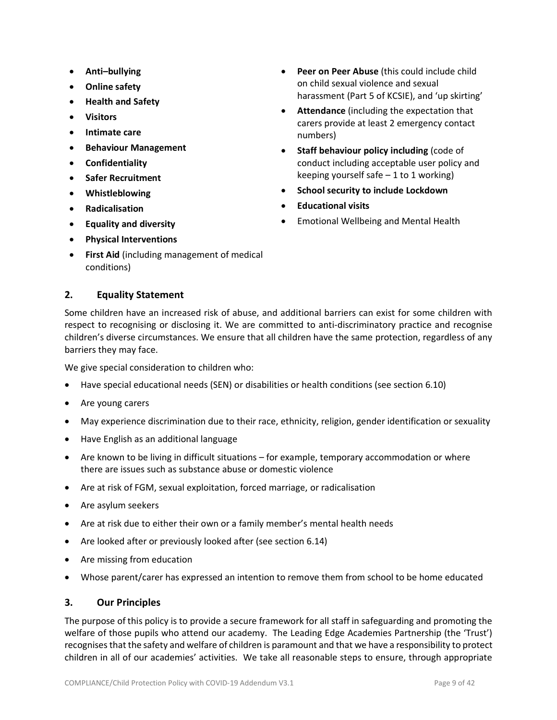- **Anti–bullying**
- **Online safety**
- **Health and Safety**
- **Visitors**
- **Intimate care**
- **Behaviour Management**
- **Confidentiality**
- **Safer Recruitment**
- **Whistleblowing**
- **Radicalisation**
- **Equality and diversity**
- **Physical Interventions**
- **First Aid** (including management of medical conditions)

## **2. Equality Statement**

Some children have an increased risk of abuse, and additional barriers can exist for some children with respect to recognising or disclosing it. We are committed to anti-discriminatory practice and recognise children's diverse circumstances. We ensure that all children have the same protection, regardless of any barriers they may face.

We give special consideration to children who:

- Have special educational needs (SEN) or disabilities or health conditions (see section 6.10)
- Are young carers
- May experience discrimination due to their race, ethnicity, religion, gender identification or sexuality
- Have English as an additional language
- Are known to be living in difficult situations for example, temporary accommodation or where there are issues such as substance abuse or domestic violence
- Are at risk of FGM, sexual exploitation, forced marriage, or radicalisation
- Are asylum seekers
- Are at risk due to either their own or a family member's mental health needs
- Are looked after or previously looked after (see section 6.14)
- Are missing from education
- Whose parent/carer has expressed an intention to remove them from school to be home educated

#### **3. Our Principles**

The purpose of this policy is to provide a secure framework for all staff in safeguarding and promoting the welfare of those pupils who attend our academy. The Leading Edge Academies Partnership (the 'Trust') recognisesthat the safety and welfare of children is paramount and that we have a responsibility to protect children in all of our academies' activities. We take all reasonable steps to ensure, through appropriate

- **Peer on Peer Abuse** (this could include child on child sexual violence and sexual harassment (Part 5 of KCSIE), and 'up skirting'
- **Attendance** (including the expectation that carers provide at least 2 emergency contact numbers)
- **Staff behaviour policy including** (code of conduct including acceptable user policy and keeping yourself safe  $-1$  to 1 working)
- **School security to include Lockdown**
- **Educational visits**
- Emotional Wellbeing and Mental Health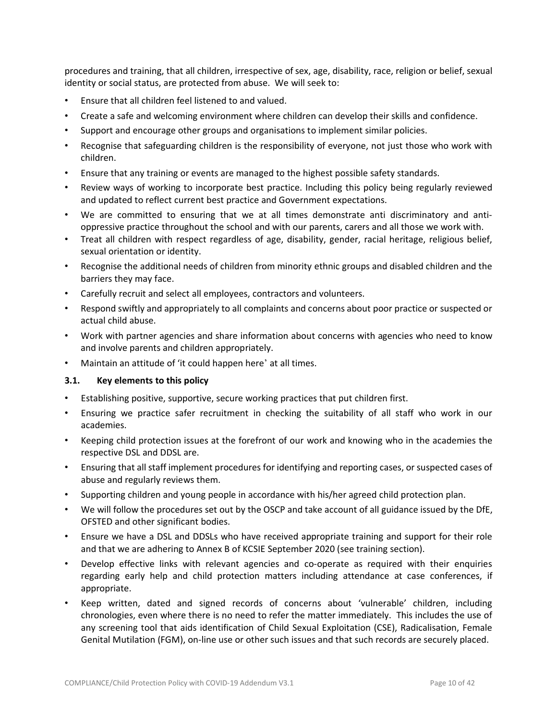procedures and training, that all children, irrespective of sex, age, disability, race, religion or belief, sexual identity or social status, are protected from abuse. We will seek to:

- Ensure that all children feel listened to and valued.
- Create a safe and welcoming environment where children can develop their skills and confidence.
- Support and encourage other groups and organisations to implement similar policies.
- Recognise that safeguarding children is the responsibility of everyone, not just those who work with children.
- Ensure that any training or events are managed to the highest possible safety standards.
- Review ways of working to incorporate best practice. Including this policy being regularly reviewed and updated to reflect current best practice and Government expectations.
- We are committed to ensuring that we at all times demonstrate anti discriminatory and antioppressive practice throughout the school and with our parents, carers and all those we work with.
- Treat all children with respect regardless of age, disability, gender, racial heritage, religious belief, sexual orientation or identity.
- Recognise the additional needs of children from minority ethnic groups and disabled children and the barriers they may face.
- Carefully recruit and select all employees, contractors and volunteers.
- Respond swiftly and appropriately to all complaints and concerns about poor practice or suspected or actual child abuse.
- Work with partner agencies and share information about concerns with agencies who need to know and involve parents and children appropriately.
- Maintain an attitude of 'it could happen here' at all times.

#### **3.1. Key elements to this policy**

- Establishing positive, supportive, secure working practices that put children first.
- Ensuring we practice safer recruitment in checking the suitability of all staff who work in our academies.
- Keeping child protection issues at the forefront of our work and knowing who in the academies the respective DSL and DDSL are.
- Ensuring that all staff implement procedures for identifying and reporting cases, or suspected cases of abuse and regularly reviews them.
- Supporting children and young people in accordance with his/her agreed child protection plan.
- We will follow the procedures set out by the OSCP and take account of all guidance issued by the DfE, OFSTED and other significant bodies.
- Ensure we have a DSL and DDSLs who have received appropriate training and support for their role and that we are adhering to Annex B of KCSIE September 2020 (see training section).
- Develop effective links with relevant agencies and co-operate as required with their enquiries regarding early help and child protection matters including attendance at case conferences, if appropriate.
- Keep written, dated and signed records of concerns about 'vulnerable' children, including chronologies, even where there is no need to refer the matter immediately. This includes the use of any screening tool that aids identification of Child Sexual Exploitation (CSE), Radicalisation, Female Genital Mutilation (FGM), on-line use or other such issues and that such records are securely placed.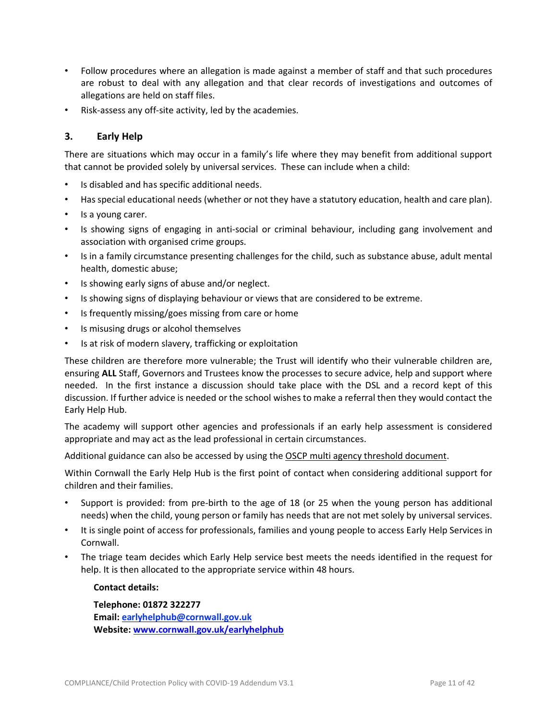- Follow procedures where an allegation is made against a member of staff and that such procedures are robust to deal with any allegation and that clear records of investigations and outcomes of allegations are held on staff files.
- Risk-assess any off-site activity, led by the academies.

## **3. Early Help**

There are situations which may occur in a family's life where they may benefit from additional support that cannot be provided solely by universal services. These can include when a child:

- Is disabled and has specific additional needs.
- Has special educational needs (whether or not they have a statutory education, health and care plan).
- Is a young carer.
- Is showing signs of engaging in anti-social or criminal behaviour, including gang involvement and association with organised crime groups.
- Is in a family circumstance presenting challenges for the child, such as substance abuse, adult mental health, domestic abuse;
- Is showing early signs of abuse and/or neglect.
- Is showing signs of displaying behaviour or views that are considered to be extreme.
- Is frequently missing/goes missing from care or home
- Is misusing drugs or alcohol themselves
- Is at risk of modern slavery, trafficking or exploitation

These children are therefore more vulnerable; the Trust will identify who their vulnerable children are, ensuring **ALL** Staff, Governors and Trustees know the processes to secure advice, help and support where needed. In the first instance a discussion should take place with the DSL and a record kept of this discussion. If further advice is needed or the school wishes to make a referral then they would contact the Early Help Hub.

The academy will support other agencies and professionals if an early help assessment is considered appropriate and may act as the lead professional in certain circumstances.

Additional guidance can also be accessed by using the OSCP multi agency threshold [document.](https://ciossafeguarding.org.uk/scp/p/our-policies-and-procedures/oscp-guidance)

Within Cornwall the Early Help Hub is the first point of contact when considering additional support for children and their families.

- Support is provided: from pre-birth to the age of 18 (or 25 when the young person has additional needs) when the child, young person or family has needs that are not met solely by universal services.
- It is single point of access for professionals, families and young people to access Early Help Services in Cornwall.
- The triage team decides which Early Help service best meets the needs identified in the request for help. It is then allocated to the appropriate service within 48 hours.

#### **Contact details:**

**Telephone: 01872 322277 Email: [earlyhelphub@cornwall.gov.uk](mailto:earlyhelphub@cornwall.gov.uk) Website: [www.cornwall.gov.uk/earlyhelphub](http://www.cornwall.gov.uk/earlyhelphub)**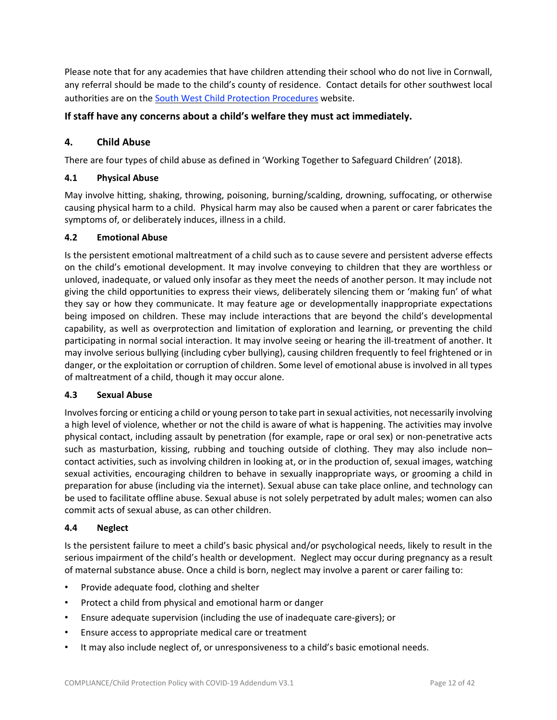Please note that for any academies that have children attending their school who do not live in Cornwall, any referral should be made to the child's county of residence. Contact details for other southwest local authorities are on the South West Child Protection [Procedures](https://ciossafeguarding.org.uk/scp) website.

## **If staff have any concerns about a child's welfare they must act immediately.**

## **4. Child Abuse**

There are four types of child abuse as defined in 'Working Together to Safeguard Children' (2018).

## **4.1 Physical Abuse**

May involve hitting, shaking, throwing, poisoning, burning/scalding, drowning, suffocating, or otherwise causing physical harm to a child. Physical harm may also be caused when a parent or carer fabricates the symptoms of, or deliberately induces, illness in a child.

#### **4.2 Emotional Abuse**

Is the persistent emotional maltreatment of a child such as to cause severe and persistent adverse effects on the child's emotional development. It may involve conveying to children that they are worthless or unloved, inadequate, or valued only insofar as they meet the needs of another person. It may include not giving the child opportunities to express their views, deliberately silencing them or 'making fun' of what they say or how they communicate. It may feature age or developmentally inappropriate expectations being imposed on children. These may include interactions that are beyond the child's developmental capability, as well as overprotection and limitation of exploration and learning, or preventing the child participating in normal social interaction. It may involve seeing or hearing the ill-treatment of another. It may involve serious bullying (including cyber bullying), causing children frequently to feel frightened or in danger, or the exploitation or corruption of children. Some level of emotional abuse is involved in all types of maltreatment of a child, though it may occur alone.

#### **4.3 Sexual Abuse**

Involvesforcing or enticing a child or young person to take part in sexual activities, not necessarily involving a high level of violence, whether or not the child is aware of what is happening. The activities may involve physical contact, including assault by penetration (for example, rape or oral sex) or non-penetrative acts such as masturbation, kissing, rubbing and touching outside of clothing. They may also include non– contact activities, such as involving children in looking at, or in the production of, sexual images, watching sexual activities, encouraging children to behave in sexually inappropriate ways, or grooming a child in preparation for abuse (including via the internet). Sexual abuse can take place online, and technology can be used to facilitate offline abuse. Sexual abuse is not solely perpetrated by adult males; women can also commit acts of sexual abuse, as can other children.

#### **4.4 Neglect**

Is the persistent failure to meet a child's basic physical and/or psychological needs, likely to result in the serious impairment of the child's health or development. Neglect may occur during pregnancy as a result of maternal substance abuse. Once a child is born, neglect may involve a parent or carer failing to:

- Provide adequate food, clothing and shelter
- Protect a child from physical and emotional harm or danger
- Ensure adequate supervision (including the use of inadequate care-givers); or
- Ensure access to appropriate medical care or treatment
- It may also include neglect of, or unresponsiveness to a child's basic emotional needs.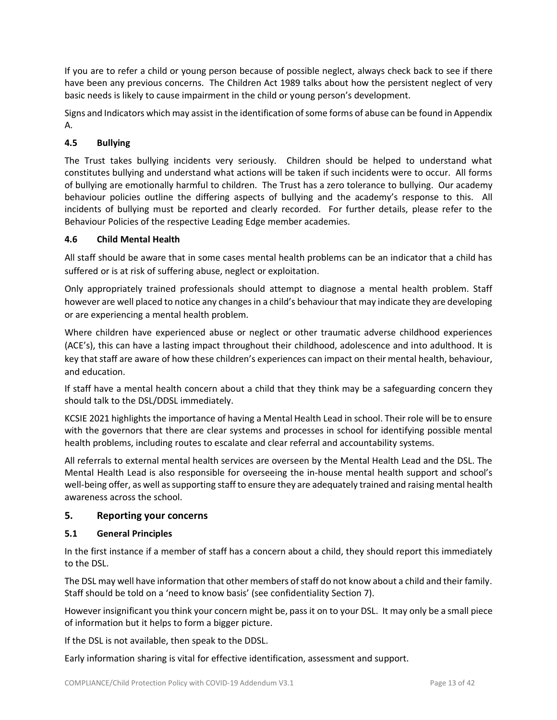If you are to refer a child or young person because of possible neglect, always check back to see if there have been any previous concerns. The Children Act 1989 talks about how the persistent neglect of very basic needs is likely to cause impairment in the child or young person's development.

Signs and Indicators which may assist in the identification of some forms of abuse can be found in Appendix A.

## **4.5 Bullying**

The Trust takes bullying incidents very seriously. Children should be helped to understand what constitutes bullying and understand what actions will be taken if such incidents were to occur. All forms of bullying are emotionally harmful to children. The Trust has a zero tolerance to bullying. Our academy behaviour policies outline the differing aspects of bullying and the academy's response to this. All incidents of bullying must be reported and clearly recorded. For further details, please refer to the Behaviour Policies of the respective Leading Edge member academies.

## **4.6 Child Mental Health**

All staff should be aware that in some cases mental health problems can be an indicator that a child has suffered or is at risk of suffering abuse, neglect or exploitation.

Only appropriately trained professionals should attempt to diagnose a mental health problem. Staff however are well placed to notice any changes in a child's behaviour that may indicate they are developing or are experiencing a mental health problem.

Where children have experienced abuse or neglect or other traumatic adverse childhood experiences (ACE's), this can have a lasting impact throughout their childhood, adolescence and into adulthood. It is key that staff are aware of how these children's experiences can impact on their mental health, behaviour, and education.

If staff have a mental health concern about a child that they think may be a safeguarding concern they should talk to the DSL/DDSL immediately.

KCSIE 2021 highlights the importance of having a Mental Health Lead in school. Their role will be to ensure with the governors that there are clear systems and processes in school for identifying possible mental health problems, including routes to escalate and clear referral and accountability systems.

All referrals to external mental health services are overseen by the Mental Health Lead and the DSL. The Mental Health Lead is also responsible for overseeing the in-house mental health support and school's well-being offer, as well assupporting staff to ensure they are adequately trained and raising mental health awareness across the school.

## **5. Reporting your concerns**

#### **5.1 General Principles**

In the first instance if a member of staff has a concern about a child, they should report this immediately to the DSL.

The DSL may well have information that other members of staff do not know about a child and their family. Staff should be told on a 'need to know basis' (see confidentiality Section 7).

However insignificant you think your concern might be, pass it on to your DSL. It may only be a small piece of information but it helps to form a bigger picture.

If the DSL is not available, then speak to the DDSL.

Early information sharing is vital for effective identification, assessment and support.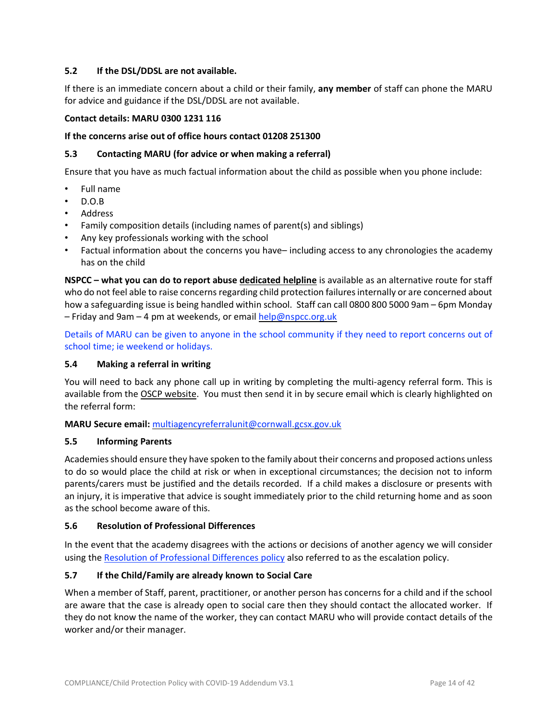#### **5.2 If the DSL/DDSL are not available.**

If there is an immediate concern about a child or their family, **any member** of staff can phone the MARU for advice and guidance if the DSL/DDSL are not available.

#### **Contact details: MARU 0300 1231 116**

#### **If the concerns arise out of office hours contact 01208 251300**

#### **5.3 Contacting MARU (for advice or when making a referral)**

Ensure that you have as much factual information about the child as possible when you phone include:

- Full name
- D.O.B
- **Address**
- Family composition details (including names of parent(s) and siblings)
- Any key professionals working with the school
- Factual information about the concerns you have– including access to any chronologies the academy has on the child

**NSPCC – what you can do to report abuse [dedicated](https://www.nspcc.org.uk/keeping-children-safe/our-services/nspcc-helpline) helpline** is available as an alternative route for staff who do not feel able to raise concerns regarding child protection failures internally or are concerned about how a safeguarding issue is being handled within school. Staff can call 0800 800 5000 9am – 6pm Monday – Friday and 9am – 4 pm at weekends, or email [help@nspcc.org.uk](mailto:help@nspcc.org.uk)

Details of MARU can be given to anyone in the school community if they need to report concerns out of school time; ie weekend or holidays.

#### **5.4 Making a referral in writing**

You will need to back any phone call up in writing by completing the multi-agency referral form. This is available from the OSCP [website.](https://ciossafeguarding.org.uk/scp/p/our-policies-and-procedures/referral-forms) You must then send it in by secure email which is clearly highlighted on the referral form:

**MARU Secure email:** multiagencyreferralunit@cornwall.gcsx.gov.uk

#### **5.5 Informing Parents**

Academies should ensure they have spoken to the family about their concerns and proposed actions unless to do so would place the child at risk or when in exceptional circumstances; the decision not to inform parents/carers must be justified and the details recorded. If a child makes a disclosure or presents with an injury, it is imperative that advice is sought immediately prior to the child returning home and as soon as the school become aware of this.

#### **5.6 Resolution of Professional Differences**

In the event that the academy disagrees with the actions or decisions of another agency we will consider using the Resolution of [Professional](https://www.cornwall.gov.uk/media/35666912/resolving-professional-differences-and-flowchart.pdf) Differences policy also referred to as the escalation policy.

#### **5.7 If the Child/Family are already known to Social Care**

When a member of Staff, parent, practitioner, or another person has concerns for a child and if the school are aware that the case is already open to social care then they should contact the allocated worker. If they do not know the name of the worker, they can contact MARU who will provide contact details of the worker and/or their manager.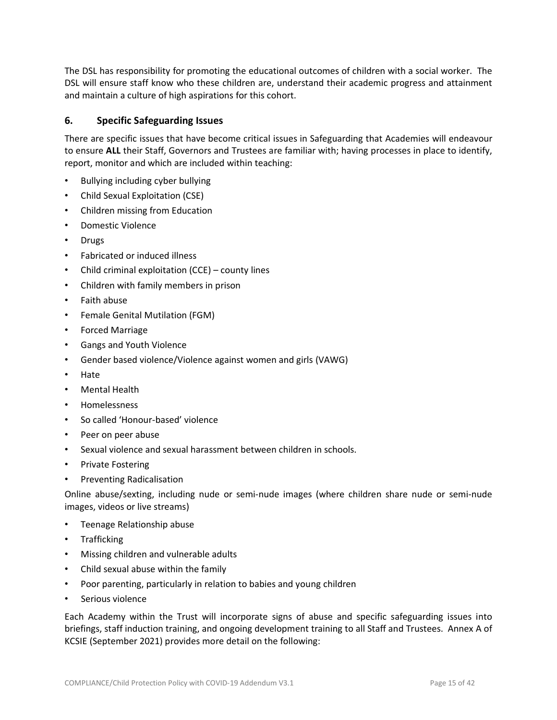The DSL has responsibility for promoting the educational outcomes of children with a social worker. The DSL will ensure staff know who these children are, understand their academic progress and attainment and maintain a culture of high aspirations for this cohort.

## **6. Specific Safeguarding Issues**

There are specific issues that have become critical issues in Safeguarding that Academies will endeavour to ensure **ALL** their Staff, Governors and Trustees are familiar with; having processes in place to identify, report, monitor and which are included within teaching:

- Bullying including cyber bullying
- Child Sexual Exploitation (CSE)
- Children missing from Education
- Domestic Violence
- Drugs
- Fabricated or induced illness
- Child criminal exploitation (CCE) county lines
- Children with family members in prison
- Faith abuse
- Female Genital Mutilation (FGM)
- Forced Marriage
- Gangs and Youth Violence
- Gender based violence/Violence against women and girls (VAWG)
- Hate
- Mental Health
- Homelessness
- So called 'Honour-based' violence
- Peer on peer abuse
- Sexual violence and sexual harassment between children in schools.
- Private Fostering
- Preventing Radicalisation

Online abuse/sexting, including nude or semi-nude images (where children share nude or semi-nude images, videos or live streams)

- Teenage Relationship abuse
- Trafficking
- Missing children and vulnerable adults
- Child sexual abuse within the family
- Poor parenting, particularly in relation to babies and young children
- Serious violence

Each Academy within the Trust will incorporate signs of abuse and specific safeguarding issues into briefings, staff induction training, and ongoing development training to all Staff and Trustees. Annex A of KCSIE (September 2021) provides more detail on the following: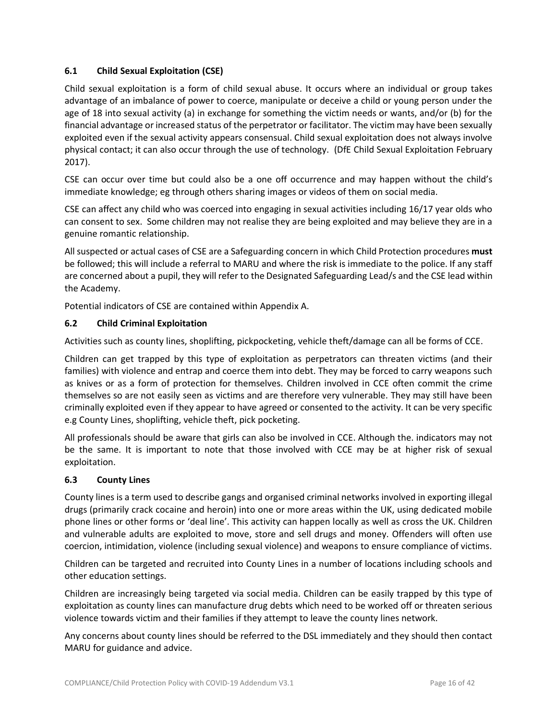## **6.1 Child Sexual Exploitation (CSE)**

Child sexual exploitation is a form of child sexual abuse. It occurs where an individual or group takes advantage of an imbalance of power to coerce, manipulate or deceive a child or young person under the age of 18 into sexual activity (a) in exchange for something the victim needs or wants, and/or (b) for the financial advantage orincreased status of the perpetrator or facilitator. The victim may have been sexually exploited even if the sexual activity appears consensual. Child sexual exploitation does not always involve physical contact; it can also occur through the use of technology. (DfE Child Sexual Exploitation February 2017).

CSE can occur over time but could also be a one off occurrence and may happen without the child's immediate knowledge; eg through others sharing images or videos of them on social media.

CSE can affect any child who was coerced into engaging in sexual activities including 16/17 year olds who can consent to sex. Some children may not realise they are being exploited and may believe they are in a genuine romantic relationship.

All suspected or actual cases of CSE are a Safeguarding concern in which Child Protection procedures **must** be followed; this will include a referral to MARU and where the risk is immediate to the police. If any staff are concerned about a pupil, they will refer to the Designated Safeguarding Lead/s and the CSE lead within the Academy.

Potential indicators of CSE are contained within Appendix A.

#### **6.2 Child Criminal Exploitation**

Activities such as county lines, shoplifting, pickpocketing, vehicle theft/damage can all be forms of CCE.

Children can get trapped by this type of exploitation as perpetrators can threaten victims (and their families) with violence and entrap and coerce them into debt. They may be forced to carry weapons such as knives or as a form of protection for themselves. Children involved in CCE often commit the crime themselves so are not easily seen as victims and are therefore very vulnerable. They may still have been criminally exploited even if they appear to have agreed or consented to the activity. It can be very specific e.g County Lines, shoplifting, vehicle theft, pick pocketing.

All professionals should be aware that girls can also be involved in CCE. Although the. indicators may not be the same. It is important to note that those involved with CCE may be at higher risk of sexual exploitation.

#### **6.3 County Lines**

County lines is a term used to describe gangs and organised criminal networks involved in exporting illegal drugs (primarily crack cocaine and heroin) into one or more areas within the UK, using dedicated mobile phone lines or other forms or 'deal line'. This activity can happen locally as well as cross the UK. Children and vulnerable adults are exploited to move, store and sell drugs and money. Offenders will often use coercion, intimidation, violence (including sexual violence) and weapons to ensure compliance of victims.

Children can be targeted and recruited into County Lines in a number of locations including schools and other education settings.

Children are increasingly being targeted via social media. Children can be easily trapped by this type of exploitation as county lines can manufacture drug debts which need to be worked off or threaten serious violence towards victim and their families if they attempt to leave the county lines network.

Any concerns about county lines should be referred to the DSL immediately and they should then contact MARU for guidance and advice.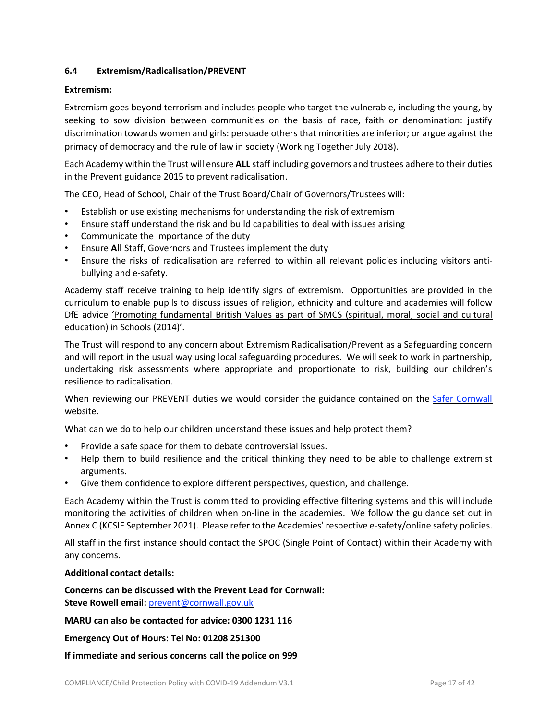## **6.4 Extremism/Radicalisation/PREVENT**

#### **Extremism:**

Extremism goes beyond terrorism and includes people who target the vulnerable, including the young, by seeking to sow division between communities on the basis of race, faith or denomination: justify discrimination towards women and girls: persuade others that minorities are inferior; or argue against the primacy of democracy and the rule of law in society (Working Together July 2018).

Each Academy within the Trust will ensure **ALL** staff including governors and trustees adhere to their duties in the Prevent guidance 2015 to prevent radicalisation.

The CEO, Head of School, Chair of the Trust Board/Chair of Governors/Trustees will:

- Establish or use existing mechanisms for understanding the risk of extremism
- Ensure staff understand the risk and build capabilities to deal with issues arising
- Communicate the importance of the duty
- Ensure **All** Staff, Governors and Trustees implement the duty
- Ensure the risks of radicalisation are referred to within all relevant policies including visitors antibullying and e-safety.

Academy staff receive training to help identify signs of extremism. Opportunities are provided in the curriculum to enable pupils to discuss issues of religion, ethnicity and culture and academies will follow DfE advice 'Promoting [fundamental](https://assets.publishing.service.gov.uk/government/uploads/system/uploads/attachment_data/file/380595/SMSC_Guidance_Maintained_Schools.pdf) British Values as part of SMCS (spiritual, moral, social and cultural [education\)](https://assets.publishing.service.gov.uk/government/uploads/system/uploads/attachment_data/file/380595/SMSC_Guidance_Maintained_Schools.pdf) in Schools (2014)'.

The Trust will respond to any concern about Extremism Radicalisation/Prevent as a Safeguarding concern and will report in the usual way using local safeguarding procedures. We will seek to work in partnership, undertaking risk assessments where appropriate and proportionate to risk, building our children's resilience to radicalisation.

When reviewing our PREVENT duties we would consider the guidance contained on the Safer [Cornwall](http://safercornwall.co.uk/preventing-crime/preventing-violent-extremism/) website.

What can we do to help our children understand these issues and help protect them?

- Provide a safe space for them to debate controversial issues.
- Help them to build resilience and the critical thinking they need to be able to challenge extremist arguments.
- Give them confidence to explore different perspectives, question, and challenge.

Each Academy within the Trust is committed to providing effective filtering systems and this will include monitoring the activities of children when on-line in the academies. We follow the guidance set out in Annex C (KCSIE September 2021). Please refer to the Academies' respective e-safety/online safety policies.

All staff in the first instance should contact the SPOC (Single Point of Contact) within their Academy with any concerns.

#### **Additional contact details:**

**Concerns can be discussed with the Prevent Lead for Cornwall: Steve Rowell email:** [prevent@cornwall.gov.uk](mailto:prevent@cornwall.gov.uk)

**MARU can also be contacted for advice: 0300 1231 116**

**Emergency Out of Hours: Tel No: 01208 251300**

**If immediate and serious concerns call the police on 999**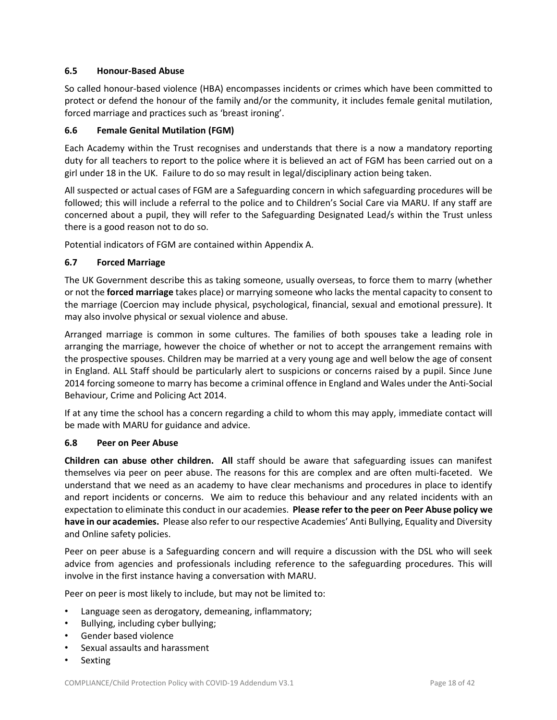#### **6.5 Honour-Based Abuse**

So called honour-based violence (HBA) encompasses incidents or crimes which have been committed to protect or defend the honour of the family and/or the community, it includes female genital mutilation, forced marriage and practices such as 'breast ironing'.

## **6.6 Female Genital Mutilation (FGM)**

Each Academy within the Trust recognises and understands that there is a now a mandatory reporting duty for all teachers to report to the police where it is believed an act of FGM has been carried out on a girl under 18 in the UK. Failure to do so may result in legal/disciplinary action being taken.

All suspected or actual cases of FGM are a Safeguarding concern in which safeguarding procedures will be followed; this will include a referral to the police and to Children's Social Care via MARU. If any staff are concerned about a pupil, they will refer to the Safeguarding Designated Lead/s within the Trust unless there is a good reason not to do so.

Potential indicators of FGM are contained within Appendix A.

## **6.7 Forced Marriage**

The UK Government describe this as taking someone, usually overseas, to force them to marry (whether or not the **forced marriage** takes place) or marrying someone who lacks the mental capacity to consent to the marriage (Coercion may include physical, psychological, financial, sexual and emotional pressure). It may also involve physical or sexual violence and abuse.

Arranged marriage is common in some cultures. The families of both spouses take a leading role in arranging the marriage, however the choice of whether or not to accept the arrangement remains with the prospective spouses. Children may be married at a very young age and well below the age of consent in England. ALL Staff should be particularly alert to suspicions or concerns raised by a pupil. Since June 2014 forcing someone to marry has become a criminal offence in England and Wales under the Anti-Social Behaviour, Crime and Policing Act 2014.

If at any time the school has a concern regarding a child to whom this may apply, immediate contact will be made with MARU for guidance and advice.

#### **6.8 Peer on Peer Abuse**

**Children can abuse other children. All** staff should be aware that safeguarding issues can manifest themselves via peer on peer abuse. The reasons for this are complex and are often multi-faceted. We understand that we need as an academy to have clear mechanisms and procedures in place to identify and report incidents or concerns. We aim to reduce this behaviour and any related incidents with an expectation to eliminate this conduct in our academies. **Please refer to the peer on Peer Abuse policy we have in our academies.** Please also refer to our respective Academies' Anti Bullying, Equality and Diversity and Online safety policies.

Peer on peer abuse is a Safeguarding concern and will require a discussion with the DSL who will seek advice from agencies and professionals including reference to the safeguarding procedures. This will involve in the first instance having a conversation with MARU.

Peer on peer is most likely to include, but may not be limited to:

- Language seen as derogatory, demeaning, inflammatory;
- Bullying, including cyber bullying;
- Gender based violence
- Sexual assaults and harassment
- **Sexting**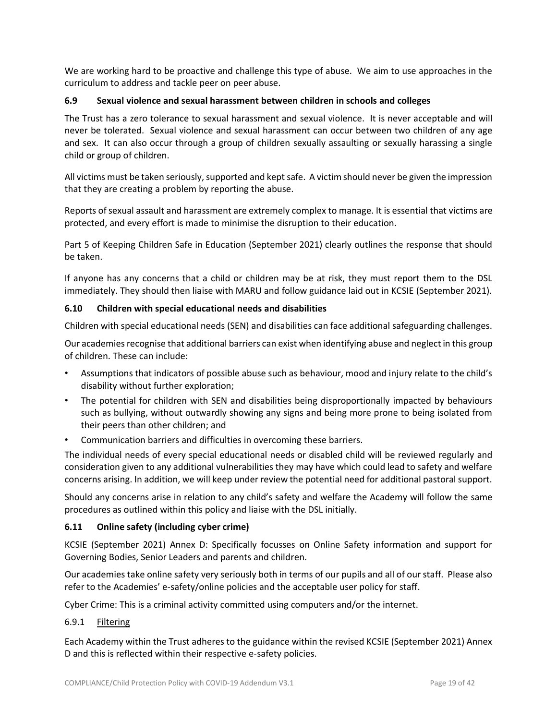We are working hard to be proactive and challenge this type of abuse. We aim to use approaches in the curriculum to address and tackle peer on peer abuse.

#### **6.9 Sexual violence and sexual harassment between children in schools and colleges**

The Trust has a zero tolerance to sexual harassment and sexual violence. It is never acceptable and will never be tolerated. Sexual violence and sexual harassment can occur between two children of any age and sex. It can also occur through a group of children sexually assaulting or sexually harassing a single child or group of children.

All victims must be taken seriously, supported and kept safe. A victim should never be given the impression that they are creating a problem by reporting the abuse.

Reports of sexual assault and harassment are extremely complex to manage. It is essential that victims are protected, and every effort is made to minimise the disruption to their education.

Part 5 of Keeping Children Safe in Education (September 2021) clearly outlines the response that should be taken.

If anyone has any concerns that a child or children may be at risk, they must report them to the DSL immediately. They should then liaise with MARU and follow guidance laid out in KCSIE (September 2021).

#### **6.10 Children with special educational needs and disabilities**

Children with special educational needs (SEN) and disabilities can face additional safeguarding challenges.

Our academies recognise that additional barriers can exist when identifying abuse and neglect in this group of children. These can include:

- Assumptions that indicators of possible abuse such as behaviour, mood and injury relate to the child's disability without further exploration;
- The potential for children with SEN and disabilities being disproportionally impacted by behaviours such as bullying, without outwardly showing any signs and being more prone to being isolated from their peers than other children; and
- Communication barriers and difficulties in overcoming these barriers.

The individual needs of every special educational needs or disabled child will be reviewed regularly and consideration given to any additional vulnerabilities they may have which could lead to safety and welfare concerns arising. In addition, we will keep under review the potential need for additional pastoral support.

Should any concerns arise in relation to any child's safety and welfare the Academy will follow the same procedures as outlined within this policy and liaise with the DSL initially.

#### **6.11 Online safety (including cyber crime)**

KCSIE (September 2021) Annex D: Specifically focusses on Online Safety information and support for Governing Bodies, Senior Leaders and parents and children.

Our academies take online safety very seriously both in terms of our pupils and all of our staff. Please also refer to the Academies' e-safety/online policies and the acceptable user policy for staff.

Cyber Crime: This is a criminal activity committed using computers and/or the internet.

#### 6.9.1 Filtering

Each Academy within the Trust adheres to the guidance within the revised KCSIE (September 2021) Annex D and this is reflected within their respective e-safety policies.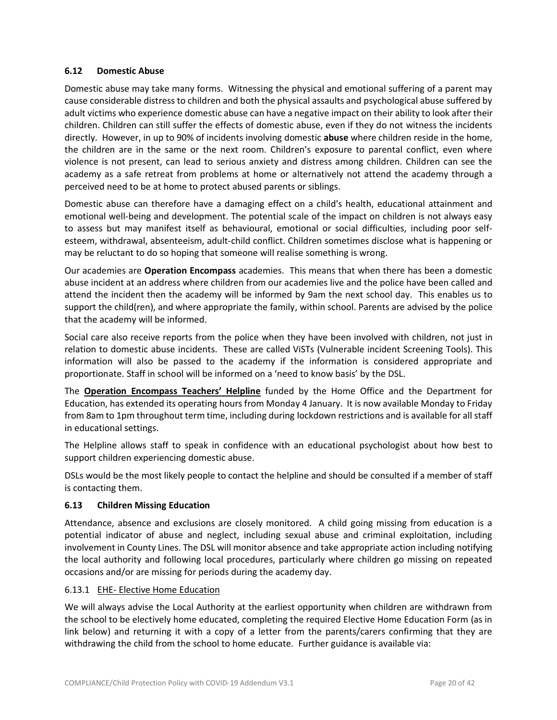#### **6.12 Domestic Abuse**

Domestic abuse may take many forms. Witnessing the physical and emotional suffering of a parent may cause considerable distress to children and both the physical assaults and psychological abuse suffered by adult victims who experience domestic abuse can have a negative impact on their ability to look after their children. Children can still suffer the effects of domestic abuse, even if they do not witness the incidents directly. However, in up to 90% of incidents involving domestic **abuse** where children reside in the home, the children are in the same or the next room. Children's exposure to parental conflict, even where violence is not present, can lead to serious anxiety and distress among children. Children can see the academy as a safe retreat from problems at home or alternatively not attend the academy through a perceived need to be at home to protect abused parents or siblings.

Domestic abuse can therefore have a damaging effect on a child's health, educational attainment and emotional well-being and development. The potential scale of the impact on children is not always easy to assess but may manifest itself as behavioural, emotional or social difficulties, including poor selfesteem, withdrawal, absenteeism, adult-child conflict. Children sometimes disclose what is happening or may be reluctant to do so hoping that someone will realise something is wrong.

Our academies are **Operation Encompass** academies. This means that when there has been a domestic abuse incident at an address where children from our academies live and the police have been called and attend the incident then the academy will be informed by 9am the next school day. This enables us to support the child(ren), and where appropriate the family, within school. Parents are advised by the police that the academy will be informed.

Social care also receive reports from the police when they have been involved with children, not just in relation to domestic abuse incidents. These are called ViSTs (Vulnerable incident Screening Tools). This information will also be passed to the academy if the information is considered appropriate and proportionate. Staff in school will be informed on a 'need to know basis' by the DSL.

The **Operation [Encompass](https://www.operationencompass.org/teachers-helpline) Teachers' Helpline** funded by the Home Office and the Department for Education, has extended its operating hours from Monday 4 January. It is now available Monday to Friday from 8am to 1pm throughout term time, including during lockdown restrictions and is available for all staff in educational settings.

The Helpline allows staff to speak in confidence with an educational psychologist about how best to support children experiencing domestic abuse.

DSLs would be the most likely people to contact the helpline and should be consulted if a member of staff is contacting them.

#### **6.13 Children Missing Education**

Attendance, absence and exclusions are closely monitored. A child going missing from education is a potential indicator of abuse and neglect, including sexual abuse and criminal exploitation, including involvement in County Lines. The DSL will monitor absence and take appropriate action including notifying the local authority and following local procedures, particularly where children go missing on repeated occasions and/or are missing for periods during the academy day.

#### 6.13.1 EHE- Elective Home Education

We will always advise the Local Authority at the earliest opportunity when children are withdrawn from the school to be electively home educated, completing the required Elective Home Education Form (as in link below) and returning it with a copy of a letter from the parents/carers confirming that they are withdrawing the child from the school to home educate. Further guidance is available via: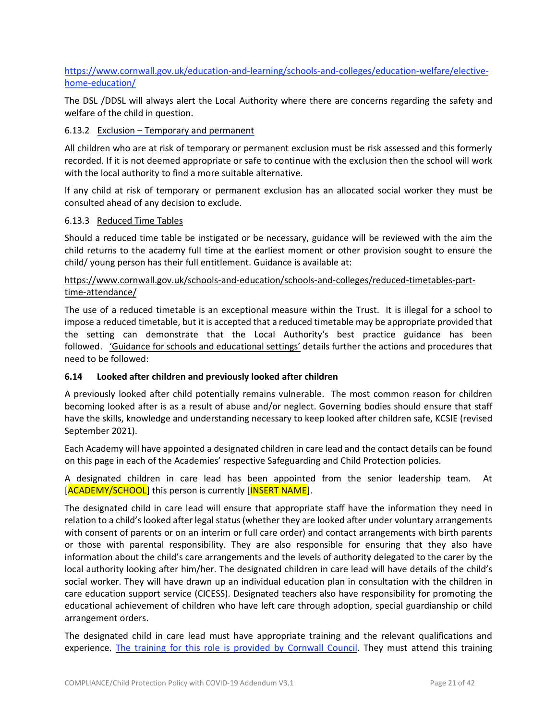## [https://www.cornwall.gov.uk/education-and-learning/schools-and-colleges/education-welfare/elective](https://www.cornwall.gov.uk/education-and-learning/schools-and-colleges/education-welfare/elective-home-education/)[home-education/](https://www.cornwall.gov.uk/education-and-learning/schools-and-colleges/education-welfare/elective-home-education/)

The DSL /DDSL will always alert the Local Authority where there are concerns regarding the safety and welfare of the child in question.

#### 6.13.2 Exclusion – Temporary and permanent

All children who are at risk of temporary or permanent exclusion must be risk assessed and this formerly recorded. If it is not deemed appropriate or safe to continue with the exclusion then the school will work with the local authority to find a more suitable alternative.

If any child at risk of temporary or permanent exclusion has an allocated social worker they must be consulted ahead of any decision to exclude.

#### 6.13.3 Reduced Time Tables

Should a reduced time table be instigated or be necessary, guidance will be reviewed with the aim the child returns to the academy full time at the earliest moment or other provision sought to ensure the child/ young person has their full entitlement. Guidance is available at:

## [https://www.cornwall.gov.uk/schools-and-education/schools-and-colleges/reduced-timetables-part](https://www.cornwall.gov.uk/schools-and-education/schools-and-colleges/reduced-timetables-part-time-attendance/)[time-attendance/](https://www.cornwall.gov.uk/schools-and-education/schools-and-colleges/reduced-timetables-part-time-attendance/)

The use of a reduced timetable is an exceptional measure within the Trust. It is illegal for a school to impose a reduced timetable, but it is accepted that a reduced timetable may be appropriate provided that the setting can demonstrate that the Local Authority's best practice guidance has been followed. 'Guidance for schools and [educational](https://www.cornwall.gov.uk/media/g0vohess/reduced-timetables-guidance.pdf) settings' details further the actions and procedures that need to be followed:

#### **6.14 Looked after children and previously looked after children**

A previously looked after child potentially remains vulnerable. The most common reason for children becoming looked after is as a result of abuse and/or neglect. Governing bodies should ensure that staff have the skills, knowledge and understanding necessary to keep looked after children safe, KCSIE (revised September 2021).

Each Academy will have appointed a designated children in care lead and the contact details can be found on this page in each of the Academies' respective Safeguarding and Child Protection policies.

A designated children in care lead has been appointed from the senior leadership team. At [ACADEMY/SCHOOL] this person is currently [INSERT NAME].

The designated child in care lead will ensure that appropriate staff have the information they need in relation to a child's looked after legal status (whether they are looked after under voluntary arrangements with consent of parents or on an interim or full care order) and contact arrangements with birth parents or those with parental responsibility. They are also responsible for ensuring that they also have information about the child's care arrangements and the levels of authority delegated to the carer by the local authority looking after him/her. The designated children in care lead will have details of the child's social worker. They will have drawn up an individual education plan in consultation with the children in care education support service (CICESS). Designated teachers also have responsibility for promoting the educational achievement of children who have left care through adoption, special guardianship or child arrangement orders.

The designated child in care lead must have appropriate training and the relevant qualifications and experience. The training for this role is [provided](https://www.cornwall.gov.uk/education-and-learning/education-and-early-years-training-directory/school-effectiveness-cornwall/children-in-care/) by Cornwall Council. They must attend this training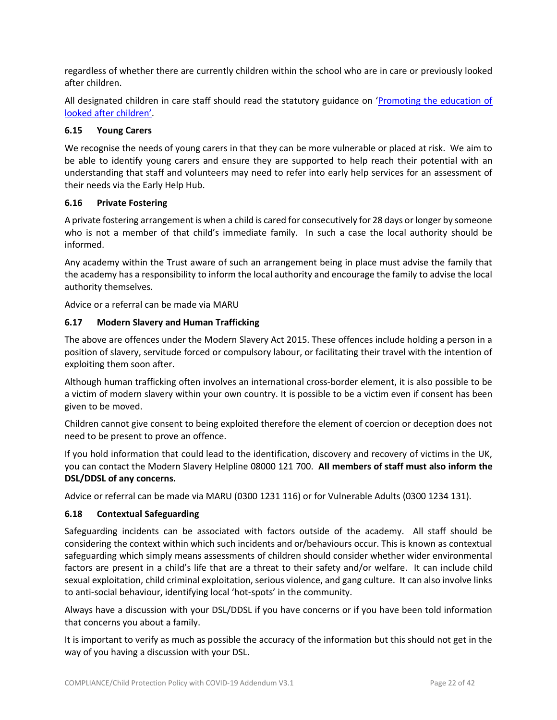regardless of whether there are currently children within the school who are in care or previously looked after children.

All designated children in care staff should read the statutory guidance on '[Promoting](https://www.gov.uk/government/publications/promoting-the-education-of-looked-after-children) the education of looked after [children](https://www.gov.uk/government/publications/promoting-the-education-of-looked-after-children)'.

#### **6.15 Young Carers**

We recognise the needs of young carers in that they can be more vulnerable or placed at risk. We aim to be able to identify young carers and ensure they are supported to help reach their potential with an understanding that staff and volunteers may need to refer into early help services for an assessment of their needs via the Early Help Hub.

#### **6.16 Private Fostering**

A private fostering arrangement is when a child is cared for consecutively for 28 days or longer by someone who is not a member of that child's immediate family. In such a case the local authority should be informed.

Any academy within the Trust aware of such an arrangement being in place must advise the family that the academy has a responsibility to inform the local authority and encourage the family to advise the local authority themselves.

Advice or a referral can be made via MARU

#### **6.17 Modern Slavery and Human Trafficking**

The above are offences under the Modern Slavery Act 2015. These offences include holding a person in a position of slavery, servitude forced or compulsory labour, or facilitating their travel with the intention of exploiting them soon after.

Although human trafficking often involves an international cross-border element, it is also possible to be a victim of modern slavery within your own country. It is possible to be a victim even if consent has been given to be moved.

Children cannot give consent to being exploited therefore the element of coercion or deception does not need to be present to prove an offence.

If you hold information that could lead to the identification, discovery and recovery of victims in the UK, you can contact the Modern Slavery Helpline 08000 121 700. **All members of staff must also inform the DSL/DDSL of any concerns.** 

Advice or referral can be made via MARU (0300 1231 116) or for Vulnerable Adults (0300 1234 131).

#### **6.18 Contextual Safeguarding**

Safeguarding incidents can be associated with factors outside of the academy. All staff should be considering the context within which such incidents and or/behaviours occur. This is known as contextual safeguarding which simply means assessments of children should consider whether wider environmental factors are present in a child's life that are a threat to their safety and/or welfare. It can include child sexual exploitation, child criminal exploitation, serious violence, and gang culture. It can also involve links to anti-social behaviour, identifying local 'hot-spots' in the community.

Always have a discussion with your DSL/DDSL if you have concerns or if you have been told information that concerns you about a family.

It is important to verify as much as possible the accuracy of the information but this should not get in the way of you having a discussion with your DSL.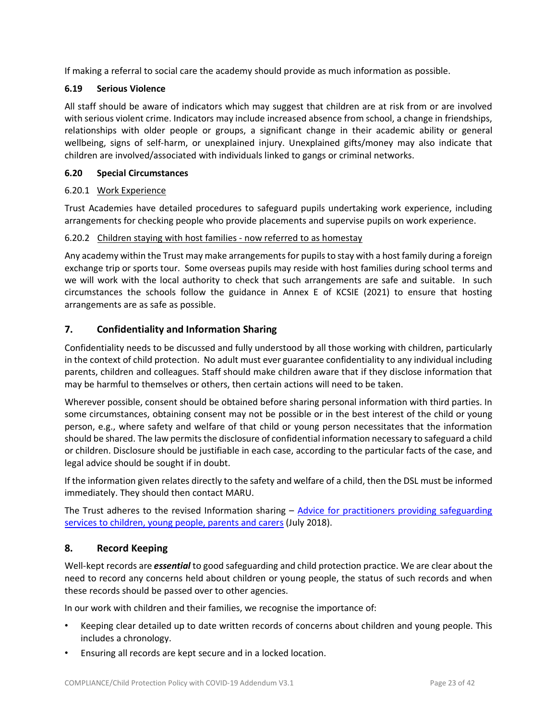If making a referral to social care the academy should provide as much information as possible.

## **6.19 Serious Violence**

All staff should be aware of indicators which may suggest that children are at risk from or are involved with serious violent crime. Indicators may include increased absence from school, a change in friendships, relationships with older people or groups, a significant change in their academic ability or general wellbeing, signs of self-harm, or unexplained injury. Unexplained gifts/money may also indicate that children are involved/associated with individuals linked to gangs or criminal networks.

## **6.20 Special Circumstances**

#### 6.20.1 Work Experience

Trust Academies have detailed procedures to safeguard pupils undertaking work experience, including arrangements for checking people who provide placements and supervise pupils on work experience.

#### 6.20.2 Children staying with host families - now referred to as homestay

Any academy within the Trust may make arrangements for pupils to stay with a host family during a foreign exchange trip or sports tour. Some overseas pupils may reside with host families during school terms and we will work with the local authority to check that such arrangements are safe and suitable. In such circumstances the schools follow the guidance in Annex E of KCSIE (2021) to ensure that hosting arrangements are as safe as possible.

## **7. Confidentiality and Information Sharing**

Confidentiality needs to be discussed and fully understood by all those working with children, particularly in the context of child protection. No adult must ever guarantee confidentiality to any individual including parents, children and colleagues. Staff should make children aware that if they disclose information that may be harmful to themselves or others, then certain actions will need to be taken.

Wherever possible, consent should be obtained before sharing personal information with third parties. In some circumstances, obtaining consent may not be possible or in the best interest of the child or young person, e.g., where safety and welfare of that child or young person necessitates that the information should be shared. The law permits the disclosure of confidential information necessary to safeguard a child or children. Disclosure should be justifiable in each case, according to the particular facts of the case, and legal advice should be sought if in doubt.

If the information given relates directly to the safety and welfare of a child, then the DSL must be informed immediately. They should then contact MARU.

The Trust adheres to the revised Information sharing – Advice for practitioners providing [safeguarding](https://www.gov.uk/government/publications/safeguarding-practitioners-information-sharing-advice) services to [children,](https://www.gov.uk/government/publications/safeguarding-practitioners-information-sharing-advice) young people, parents and carers (July 2018).

## **8. Record Keeping**

Well-kept records are *essential* to good safeguarding and child protection practice. We are clear about the need to record any concerns held about children or young people, the status of such records and when these records should be passed over to other agencies.

In our work with children and their families, we recognise the importance of:

- Keeping clear detailed up to date written records of concerns about children and young people. This includes a chronology.
- Ensuring all records are kept secure and in a locked location.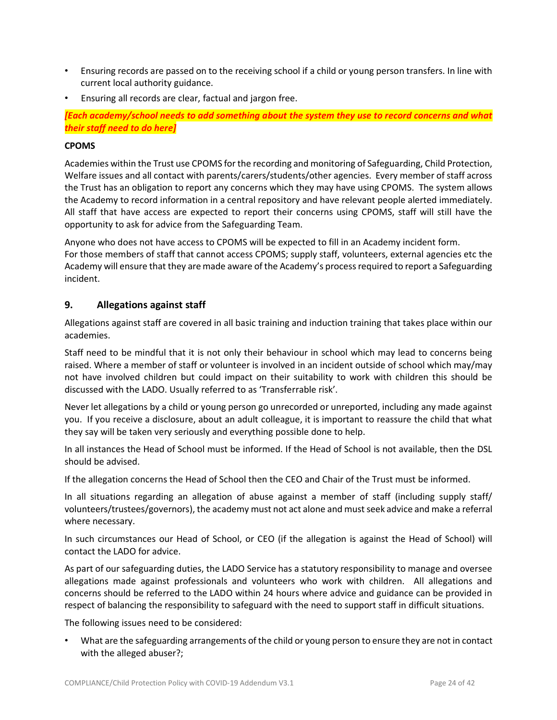- Ensuring records are passed on to the receiving school if a child or young person transfers. In line with current local authority guidance.
- Ensuring all records are clear, factual and jargon free.

*[Each academy/school needs to add something about the system they use to record concerns and what their staff need to do here]*

#### **CPOMS**

Academies within the Trust use CPOMS forthe recording and monitoring of Safeguarding, Child Protection, Welfare issues and all contact with parents/carers/students/other agencies. Every member of staff across the Trust has an obligation to report any concerns which they may have using CPOMS. The system allows the Academy to record information in a central repository and have relevant people alerted immediately. All staff that have access are expected to report their concerns using CPOMS, staff will still have the opportunity to ask for advice from the Safeguarding Team.

Anyone who does not have access to CPOMS will be expected to fill in an Academy incident form. For those members of staff that cannot access CPOMS; supply staff, volunteers, external agencies etc the Academy will ensure that they are made aware of the Academy's processrequired to report a Safeguarding incident.

#### **9. Allegations against staff**

Allegations against staff are covered in all basic training and induction training that takes place within our academies.

Staff need to be mindful that it is not only their behaviour in school which may lead to concerns being raised. Where a member of staff or volunteer is involved in an incident outside of school which may/may not have involved children but could impact on their suitability to work with children this should be discussed with the LADO. Usually referred to as 'Transferrable risk'.

Never let allegations by a child or young person go unrecorded or unreported, including any made against you. If you receive a disclosure, about an adult colleague, it is important to reassure the child that what they say will be taken very seriously and everything possible done to help.

In all instances the Head of School must be informed. If the Head of School is not available, then the DSL should be advised.

If the allegation concerns the Head of School then the CEO and Chair of the Trust must be informed.

In all situations regarding an allegation of abuse against a member of staff (including supply staff/ volunteers/trustees/governors), the academy must not act alone and mustseek advice and make a referral where necessary.

In such circumstances our Head of School, or CEO (if the allegation is against the Head of School) will contact the LADO for advice.

As part of our safeguarding duties, the LADO Service has a statutory responsibility to manage and oversee allegations made against professionals and volunteers who work with children. All allegations and concerns should be referred to the LADO within 24 hours where advice and guidance can be provided in respect of balancing the responsibility to safeguard with the need to support staff in difficult situations.

The following issues need to be considered:

• What are the safeguarding arrangements of the child or young person to ensure they are not in contact with the alleged abuser?;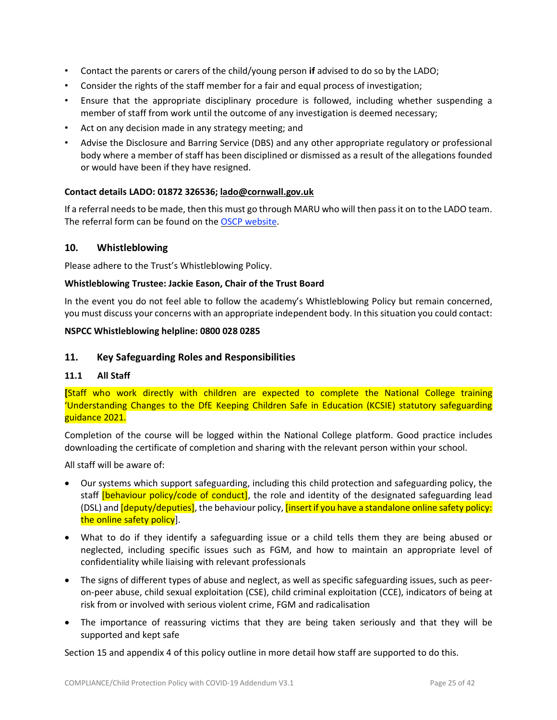- Contact the parents or carers of the child/young person **if** advised to do so by the LADO;
- Consider the rights of the staff member for a fair and equal process of investigation;
- Ensure that the appropriate disciplinary procedure is followed, including whether suspending a member of staff from work until the outcome of any investigation is deemed necessary;
- Act on any decision made in any strategy meeting; and
- Advise the Disclosure and Barring Service (DBS) and any other appropriate regulatory or professional body where a member of staff has been disciplined or dismissed as a result of the allegations founded or would have been if they have resigned.

#### **Contact details LADO: 01872 326536; [lado@cornwall.gov.uk](mailto:lado@cornwall.gov.uk)**

If a referral needs to be made, then this must go through MARU who will then passit on to the LADO team. The referral form can be found on the OSCP [website.](https://ciossafeguarding.org.uk/scp/p/our-policies-and-procedures/referral-forms)

#### **10. Whistleblowing**

Please adhere to the Trust's Whistleblowing Policy.

#### **Whistleblowing Trustee: Jackie Eason, Chair of the Trust Board**

In the event you do not feel able to follow the academy's Whistleblowing Policy but remain concerned, you must discuss your concerns with an appropriate independent body. In this situation you could contact:

#### **NSPCC Whistleblowing helpline: 0800 028 0285**

#### **11. Key Safeguarding Roles and Responsibilities**

#### **11.1 All Staff**

**[**Staff who work directly with children are expected to complete the National College training 'Understanding Changes to the DfE Keeping Children Safe in Education (KCSIE) statutory safeguarding guidance 2021.

Completion of the course will be logged within the National College platform. Good practice includes downloading the certificate of completion and sharing with the relevant person within your school.

All staff will be aware of:

- Our systems which support safeguarding, including this child protection and safeguarding policy, the staff [behaviour policy/code of conduct], the role and identity of the designated safeguarding lead (DSL) and *[deputy/deputies]*, the behaviour policy, *[insert if you have a standalone online safety policy:* the online safety policy].
- What to do if they identify a safeguarding issue or a child tells them they are being abused or neglected, including specific issues such as FGM, and how to maintain an appropriate level of confidentiality while liaising with relevant professionals
- The signs of different types of abuse and neglect, as well as specific safeguarding issues, such as peeron-peer abuse, child sexual exploitation (CSE), child criminal exploitation (CCE), indicators of being at risk from or involved with serious violent crime, FGM and radicalisation
- The importance of reassuring victims that they are being taken seriously and that they will be supported and kept safe

Section 15 and appendix 4 of this policy outline in more detail how staff are supported to do this.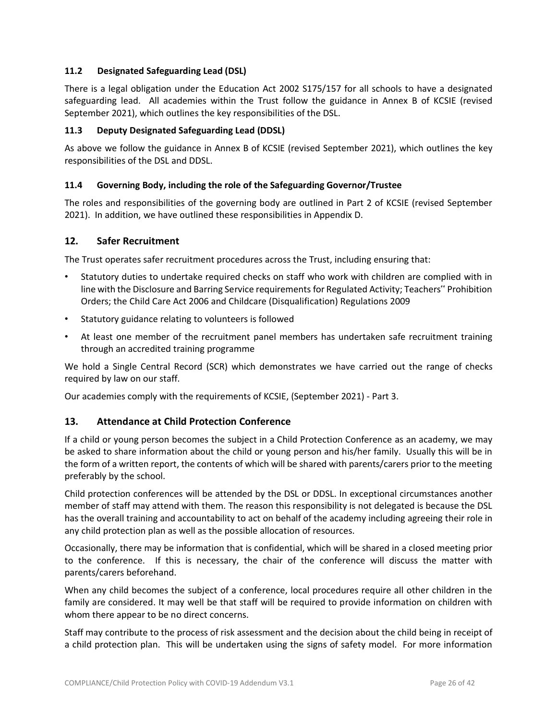## **11.2 Designated Safeguarding Lead (DSL)**

There is a legal obligation under the Education Act 2002 S175/157 for all schools to have a designated safeguarding lead. All academies within the Trust follow the guidance in Annex B of KCSIE (revised September 2021), which outlines the key responsibilities of the DSL.

## **11.3 Deputy Designated Safeguarding Lead (DDSL)**

As above we follow the guidance in Annex B of KCSIE (revised September 2021), which outlines the key responsibilities of the DSL and DDSL.

## **11.4 Governing Body, including the role of the Safeguarding Governor/Trustee**

The roles and responsibilities of the governing body are outlined in Part 2 of KCSIE (revised September 2021). In addition, we have outlined these responsibilities in Appendix D.

#### **12. Safer Recruitment**

The Trust operates safer recruitment procedures across the Trust, including ensuring that:

- Statutory duties to undertake required checks on staff who work with children are complied with in line with the Disclosure and Barring Service requirements for Regulated Activity; Teachers" Prohibition Orders; the Child Care Act 2006 and Childcare (Disqualification) Regulations 2009
- Statutory guidance relating to volunteers is followed
- At least one member of the recruitment panel members has undertaken safe recruitment training through an accredited training programme

We hold a Single Central Record (SCR) which demonstrates we have carried out the range of checks required by law on our staff.

Our academies comply with the requirements of KCSIE, (September 2021) - Part 3.

#### **13. Attendance at Child Protection Conference**

If a child or young person becomes the subject in a Child Protection Conference as an academy, we may be asked to share information about the child or young person and his/her family. Usually this will be in the form of a written report, the contents of which will be shared with parents/carers prior to the meeting preferably by the school.

Child protection conferences will be attended by the DSL or DDSL. In exceptional circumstances another member of staff may attend with them. The reason this responsibility is not delegated is because the DSL has the overall training and accountability to act on behalf of the academy including agreeing their role in any child protection plan as well as the possible allocation of resources.

Occasionally, there may be information that is confidential, which will be shared in a closed meeting prior to the conference. If this is necessary, the chair of the conference will discuss the matter with parents/carers beforehand.

When any child becomes the subject of a conference, local procedures require all other children in the family are considered. It may well be that staff will be required to provide information on children with whom there appear to be no direct concerns.

Staff may contribute to the process of risk assessment and the decision about the child being in receipt of a child protection plan. This will be undertaken using the signs of safety model. For more information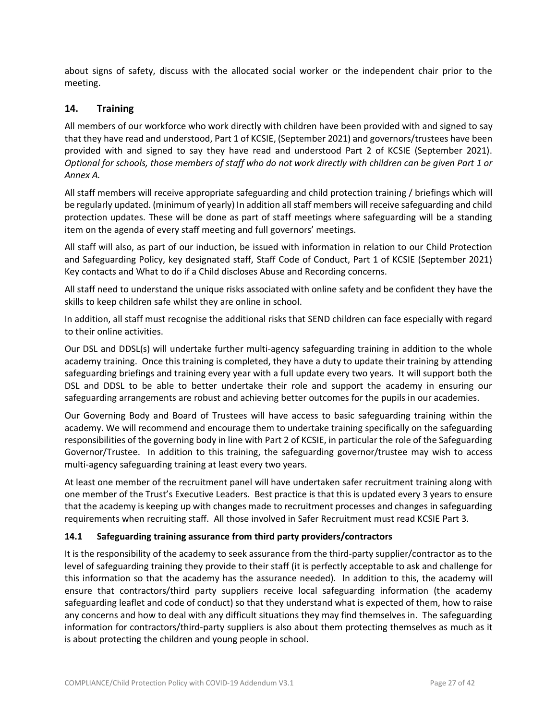about signs of safety, discuss with the allocated social worker or the independent chair prior to the meeting.

## **14. Training**

All members of our workforce who work directly with children have been provided with and signed to say that they have read and understood, Part 1 of KCSIE, (September 2021) and governors/trustees have been provided with and signed to say they have read and understood Part 2 of KCSIE (September 2021). Optional for schools, those members of staff who do not work directly with children can be given Part 1 or *Annex A.* 

All staff members will receive appropriate safeguarding and child protection training / briefings which will be regularly updated. (minimum of yearly) In addition all staff members will receive safeguarding and child protection updates. These will be done as part of staff meetings where safeguarding will be a standing item on the agenda of every staff meeting and full governors' meetings.

All staff will also, as part of our induction, be issued with information in relation to our Child Protection and Safeguarding Policy, key designated staff, Staff Code of Conduct, Part 1 of KCSIE (September 2021) Key contacts and What to do if a Child discloses Abuse and Recording concerns.

All staff need to understand the unique risks associated with online safety and be confident they have the skills to keep children safe whilst they are online in school.

In addition, all staff must recognise the additional risks that SEND children can face especially with regard to their online activities.

Our DSL and DDSL(s) will undertake further multi-agency safeguarding training in addition to the whole academy training. Once this training is completed, they have a duty to update their training by attending safeguarding briefings and training every year with a full update every two years. It will support both the DSL and DDSL to be able to better undertake their role and support the academy in ensuring our safeguarding arrangements are robust and achieving better outcomes for the pupils in our academies.

Our Governing Body and Board of Trustees will have access to basic safeguarding training within the academy. We will recommend and encourage them to undertake training specifically on the safeguarding responsibilities of the governing body in line with Part 2 of KCSIE, in particular the role of the Safeguarding Governor/Trustee. In addition to this training, the safeguarding governor/trustee may wish to access multi-agency safeguarding training at least every two years.

At least one member of the recruitment panel will have undertaken safer recruitment training along with one member of the Trust's Executive Leaders. Best practice is that this is updated every 3 years to ensure that the academy is keeping up with changes made to recruitment processes and changes in safeguarding requirements when recruiting staff. All those involved in Safer Recruitment must read KCSIE Part 3.

#### **14.1 Safeguarding training assurance from third party providers/contractors**

It is the responsibility of the academy to seek assurance from the third-party supplier/contractor as to the level of safeguarding training they provide to their staff (it is perfectly acceptable to ask and challenge for this information so that the academy has the assurance needed). In addition to this, the academy will ensure that contractors/third party suppliers receive local safeguarding information (the academy safeguarding leaflet and code of conduct) so that they understand what is expected of them, how to raise any concerns and how to deal with any difficult situations they may find themselves in. The safeguarding information for contractors/third-party suppliers is also about them protecting themselves as much as it is about protecting the children and young people in school.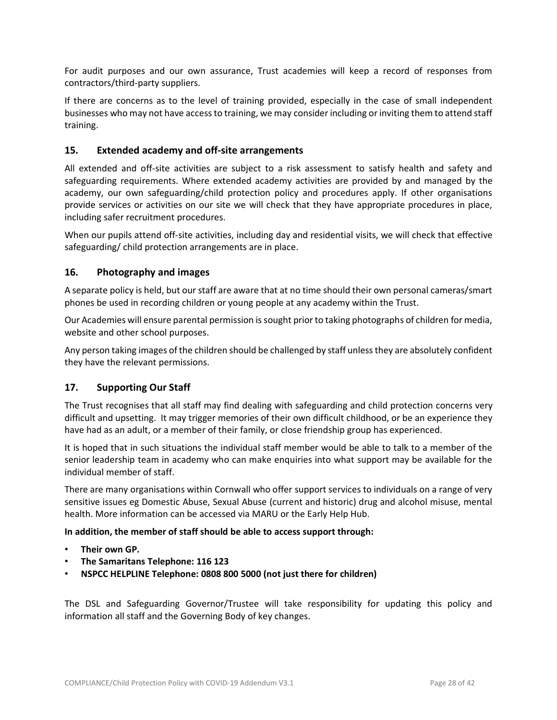For audit purposes and our own assurance, Trust academies will keep a record of responses from contractors/third-party suppliers.

If there are concerns as to the level of training provided, especially in the case of small independent businesses who may not have accessto training, we may consider including or inviting them to attend staff training.

## **15. Extended academy and off-site arrangements**

All extended and off-site activities are subject to a risk assessment to satisfy health and safety and safeguarding requirements. Where extended academy activities are provided by and managed by the academy, our own safeguarding/child protection policy and procedures apply. If other organisations provide services or activities on our site we will check that they have appropriate procedures in place, including safer recruitment procedures.

When our pupils attend off-site activities, including day and residential visits, we will check that effective safeguarding/ child protection arrangements are in place.

#### **16. Photography and images**

A separate policy is held, but our staff are aware that at no time should their own personal cameras/smart phones be used in recording children or young people at any academy within the Trust.

Our Academies will ensure parental permission issought prior to taking photographs of children for media, website and other school purposes.

Any person taking images of the children should be challenged by staff unless they are absolutely confident they have the relevant permissions.

#### **17. Supporting Our Staff**

The Trust recognises that all staff may find dealing with safeguarding and child protection concerns very difficult and upsetting. It may trigger memories of their own difficult childhood, or be an experience they have had as an adult, or a member of their family, or close friendship group has experienced.

It is hoped that in such situations the individual staff member would be able to talk to a member of the senior leadership team in academy who can make enquiries into what support may be available for the individual member of staff.

There are many organisations within Cornwall who offer support services to individuals on a range of very sensitive issues eg Domestic Abuse, Sexual Abuse (current and historic) drug and alcohol misuse, mental health. More information can be accessed via MARU or the Early Help Hub.

#### **In addition, the member of staff should be able to access support through:**

- **Their own GP.**
- **The Samaritans Telephone: 116 123**
- **NSPCC HELPLINE Telephone: 0808 800 5000 (not just there for children)**

The DSL and Safeguarding Governor/Trustee will take responsibility for updating this policy and information all staff and the Governing Body of key changes.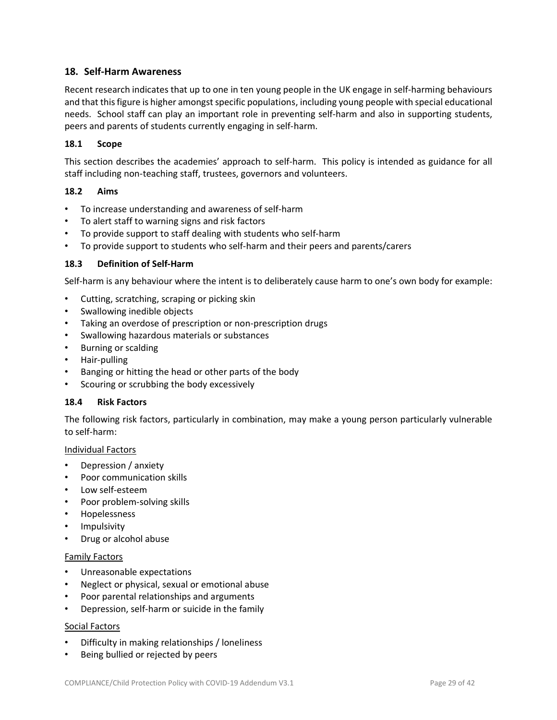## **18. Self-Harm Awareness**

Recent research indicates that up to one in ten young people in the UK engage in self-harming behaviours and that this figure is higher amongst specific populations, including young people with special educational needs. School staff can play an important role in preventing self-harm and also in supporting students, peers and parents of students currently engaging in self-harm.

#### **18.1 Scope**

This section describes the academies' approach to self-harm. This policy is intended as guidance for all staff including non-teaching staff, trustees, governors and volunteers.

#### **18.2 Aims**

- To increase understanding and awareness of self-harm
- To alert staff to warning signs and risk factors
- To provide support to staff dealing with students who self-harm
- To provide support to students who self-harm and their peers and parents/carers

#### **18.3 Definition of Self-Harm**

Self-harm is any behaviour where the intent is to deliberately cause harm to one's own body for example:

- Cutting, scratching, scraping or picking skin
- Swallowing inedible objects
- Taking an overdose of prescription or non-prescription drugs
- Swallowing hazardous materials or substances
- Burning or scalding
- Hair-pulling
- Banging or hitting the head or other parts of the body
- Scouring or scrubbing the body excessively

#### **18.4 Risk Factors**

The following risk factors, particularly in combination, may make a young person particularly vulnerable to self-harm:

#### Individual Factors

- Depression / anxiety
- Poor communication skills
- Low self-esteem
- Poor problem-solving skills
- Hopelessness
- Impulsivity
- Drug or alcohol abuse

#### Family Factors

- Unreasonable expectations
- Neglect or physical, sexual or emotional abuse
- Poor parental relationships and arguments
- Depression, self-harm or suicide in the family

#### Social Factors

- Difficulty in making relationships / loneliness
- Being bullied or rejected by peers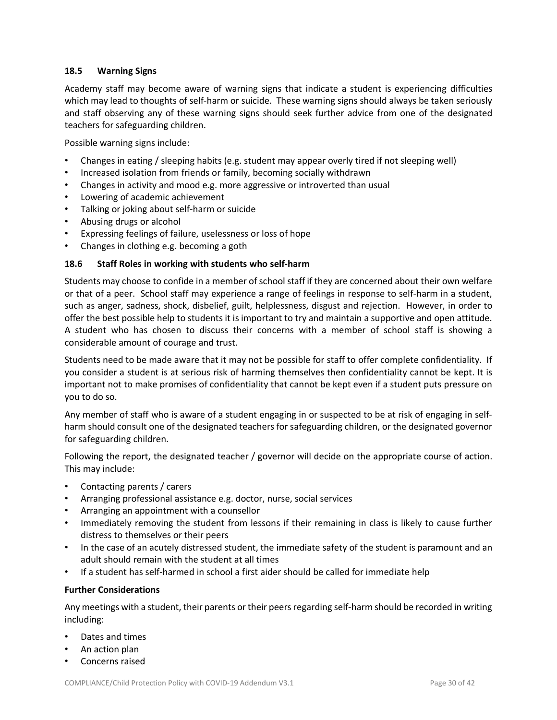#### **18.5 Warning Signs**

Academy staff may become aware of warning signs that indicate a student is experiencing difficulties which may lead to thoughts of self-harm or suicide. These warning signs should always be taken seriously and staff observing any of these warning signs should seek further advice from one of the designated teachers for safeguarding children.

Possible warning signs include:

- Changes in eating / sleeping habits (e.g. student may appear overly tired if not sleeping well)
- Increased isolation from friends or family, becoming socially withdrawn
- Changes in activity and mood e.g. more aggressive or introverted than usual
- Lowering of academic achievement
- Talking or joking about self-harm or suicide
- Abusing drugs or alcohol
- Expressing feelings of failure, uselessness or loss of hope
- Changes in clothing e.g. becoming a goth

#### **18.6 Staff Roles in working with students who self-harm**

Students may choose to confide in a member of school staff if they are concerned about their own welfare or that of a peer. School staff may experience a range of feelings in response to self-harm in a student, such as anger, sadness, shock, disbelief, guilt, helplessness, disgust and rejection. However, in order to offer the best possible help to students it is important to try and maintain a supportive and open attitude. A student who has chosen to discuss their concerns with a member of school staff is showing a considerable amount of courage and trust.

Students need to be made aware that it may not be possible for staff to offer complete confidentiality. If you consider a student is at serious risk of harming themselves then confidentiality cannot be kept. It is important not to make promises of confidentiality that cannot be kept even if a student puts pressure on you to do so.

Any member of staff who is aware of a student engaging in or suspected to be at risk of engaging in selfharm should consult one of the designated teachers for safeguarding children, or the designated governor for safeguarding children.

Following the report, the designated teacher / governor will decide on the appropriate course of action. This may include:

- Contacting parents / carers
- Arranging professional assistance e.g. doctor, nurse, social services
- Arranging an appointment with a counsellor
- Immediately removing the student from lessons if their remaining in class is likely to cause further distress to themselves or their peers
- In the case of an acutely distressed student, the immediate safety of the student is paramount and an adult should remain with the student at all times
- If a student has self-harmed in school a first aider should be called for immediate help

#### **Further Considerations**

Any meetings with a student, their parents or their peersregarding self-harm should be recorded in writing including:

- Dates and times
- An action plan
- Concerns raised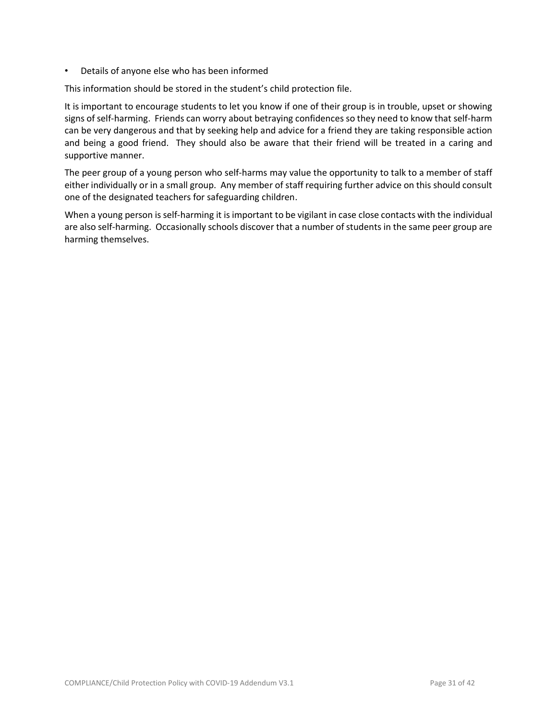• Details of anyone else who has been informed

This information should be stored in the student's child protection file.

It is important to encourage students to let you know if one of their group is in trouble, upset or showing signs ofself-harming. Friends can worry about betraying confidences so they need to know that self-harm can be very dangerous and that by seeking help and advice for a friend they are taking responsible action and being a good friend. They should also be aware that their friend will be treated in a caring and supportive manner.

The peer group of a young person who self-harms may value the opportunity to talk to a member of staff either individually or in a small group. Any member of staff requiring further advice on this should consult one of the designated teachers for safeguarding children.

When a young person is self-harming it is important to be vigilant in case close contacts with the individual are also self-harming. Occasionally schools discover that a number of students in the same peer group are harming themselves.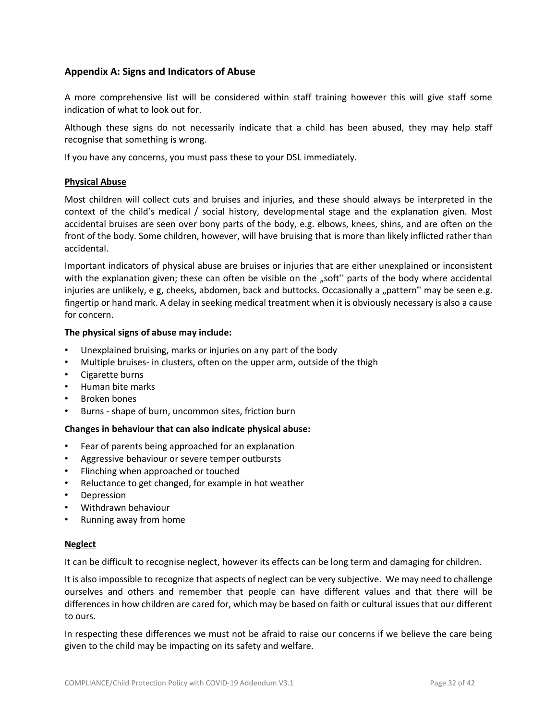## **Appendix A: Signs and Indicators of Abuse**

A more comprehensive list will be considered within staff training however this will give staff some indication of what to look out for.

Although these signs do not necessarily indicate that a child has been abused, they may help staff recognise that something is wrong.

If you have any concerns, you must pass these to your DSL immediately.

#### **Physical Abuse**

Most children will collect cuts and bruises and injuries, and these should always be interpreted in the context of the child's medical / social history, developmental stage and the explanation given. Most accidental bruises are seen over bony parts of the body, e.g. elbows, knees, shins, and are often on the front of the body. Some children, however, will have bruising that is more than likely inflicted rather than accidental.

Important indicators of physical abuse are bruises or injuries that are either unexplained or inconsistent with the explanation given; these can often be visible on the "soft" parts of the body where accidental injuries are unlikely, e g, cheeks, abdomen, back and buttocks. Occasionally a "pattern" may be seen e.g. fingertip or hand mark. A delay in seeking medical treatment when it is obviously necessary is also a cause for concern.

#### **The physical signs of abuse may include:**

- Unexplained bruising, marks or injuries on any part of the body
- Multiple bruises- in clusters, often on the upper arm, outside of the thigh
- Cigarette burns
- Human bite marks
- Broken bones
- Burns shape of burn, uncommon sites, friction burn

#### **Changes in behaviour that can also indicate physical abuse:**

- Fear of parents being approached for an explanation
- Aggressive behaviour or severe temper outbursts
- Flinching when approached or touched
- Reluctance to get changed, for example in hot weather
- **Depression**
- Withdrawn behaviour
- Running away from home

#### **Neglect**

It can be difficult to recognise neglect, however its effects can be long term and damaging for children.

It is also impossible to recognize that aspects of neglect can be very subjective. We may need to challenge ourselves and others and remember that people can have different values and that there will be differences in how children are cared for, which may be based on faith or cultural issues that our different to ours.

In respecting these differences we must not be afraid to raise our concerns if we believe the care being given to the child may be impacting on its safety and welfare.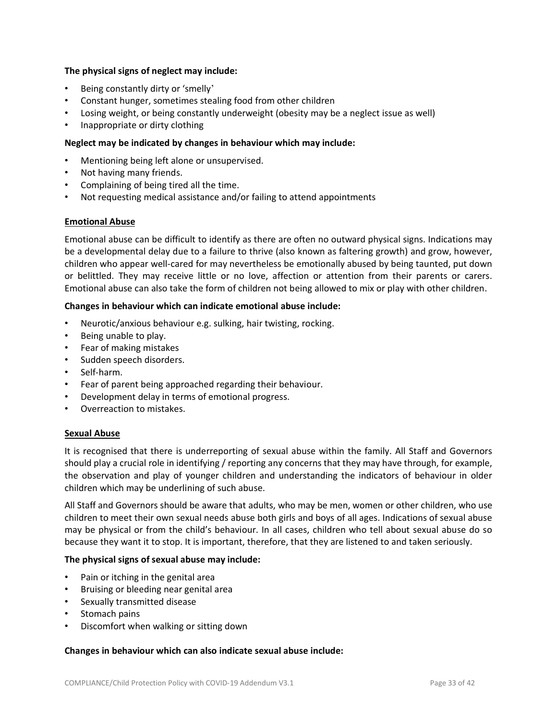#### **The physical signs of neglect may include:**

- Being constantly dirty or 'smelly'
- Constant hunger, sometimes stealing food from other children
- Losing weight, or being constantly underweight (obesity may be a neglect issue as well)
- Inappropriate or dirty clothing

#### **Neglect may be indicated by changes in behaviour which may include:**

- Mentioning being left alone or unsupervised.
- Not having many friends.
- Complaining of being tired all the time.
- Not requesting medical assistance and/or failing to attend appointments

#### **Emotional Abuse**

Emotional abuse can be difficult to identify as there are often no outward physical signs. Indications may be a developmental delay due to a failure to thrive (also known as faltering growth) and grow, however, children who appear well-cared for may nevertheless be emotionally abused by being taunted, put down or belittled. They may receive little or no love, affection or attention from their parents or carers. Emotional abuse can also take the form of children not being allowed to mix or play with other children.

#### **Changes in behaviour which can indicate emotional abuse include:**

- Neurotic/anxious behaviour e.g. sulking, hair twisting, rocking.
- Being unable to play.
- Fear of making mistakes
- Sudden speech disorders.
- Self-harm.
- Fear of parent being approached regarding their behaviour.
- Development delay in terms of emotional progress.
- Overreaction to mistakes.

#### **Sexual Abuse**

It is recognised that there is underreporting of sexual abuse within the family. All Staff and Governors should play a crucial role in identifying / reporting any concerns that they may have through, for example, the observation and play of younger children and understanding the indicators of behaviour in older children which may be underlining of such abuse.

All Staff and Governors should be aware that adults, who may be men, women or other children, who use children to meet their own sexual needs abuse both girls and boys of all ages. Indications of sexual abuse may be physical or from the child's behaviour. In all cases, children who tell about sexual abuse do so because they want it to stop. It is important, therefore, that they are listened to and taken seriously.

#### **The physical signs of sexual abuse may include:**

- Pain or itching in the genital area
- Bruising or bleeding near genital area
- Sexually transmitted disease
- Stomach pains
- Discomfort when walking or sitting down

#### **Changes in behaviour which can also indicate sexual abuse include:**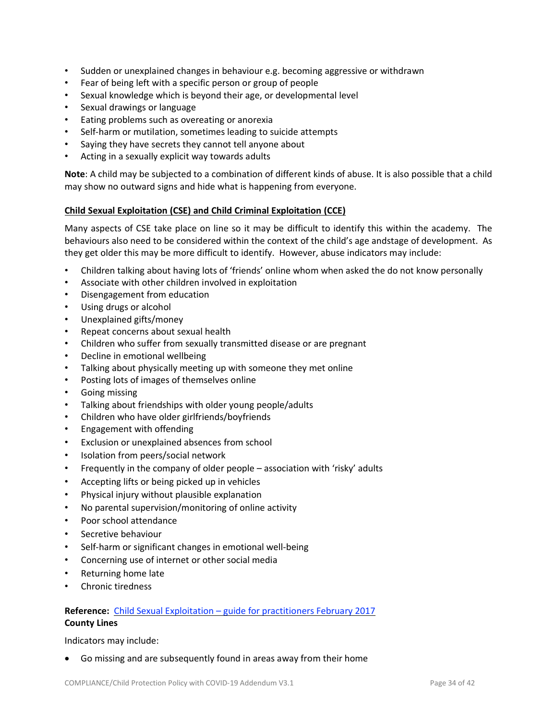- Sudden or unexplained changes in behaviour e.g. becoming aggressive or withdrawn
- Fear of being left with a specific person or group of people
- Sexual knowledge which is beyond their age, or developmental level
- Sexual drawings or language
- Eating problems such as overeating or anorexia
- Self-harm or mutilation, sometimes leading to suicide attempts
- Saying they have secrets they cannot tell anyone about
- Acting in a sexually explicit way towards adults

**Note**: A child may be subjected to a combination of different kinds of abuse. It is also possible that a child may show no outward signs and hide what is happening from everyone.

#### **Child Sexual Exploitation (CSE) and Child Criminal Exploitation (CCE)**

Many aspects of CSE take place on line so it may be difficult to identify this within the academy. The behaviours also need to be considered within the context of the child's age andstage of development. As they get older this may be more difficult to identify. However, abuse indicators may include:

- Children talking about having lots of 'friends' online whom when asked the do not know personally
- Associate with other children involved in exploitation
- Disengagement from education
- Using drugs or alcohol
- Unexplained gifts/money
- Repeat concerns about sexual health
- Children who suffer from sexually transmitted disease or are pregnant
- Decline in emotional wellbeing
- Talking about physically meeting up with someone they met online
- Posting lots of images of themselves online
- Going missing
- Talking about friendships with older young people/adults
- Children who have older girlfriends/boyfriends
- Engagement with offending
- Exclusion or unexplained absences from school
- Isolation from peers/social network
- Frequently in the company of older people association with 'risky' adults
- Accepting lifts or being picked up in vehicles
- Physical injury without plausible explanation
- No parental supervision/monitoring of online activity
- Poor school attendance
- Secretive behaviour
- Self-harm or significant changes in emotional well-being
- Concerning use of internet or other social media
- Returning home late
- Chronic tiredness

# **Reference:** Child Sexual Exploitation – guide for [practitioners](https://www.gov.uk/government/publications/child-sexual-exploitation-definition-and-guide-for-practitioners) February 2017

#### **County Lines**

Indicators may include:

• Go missing and are subsequently found in areas away from their home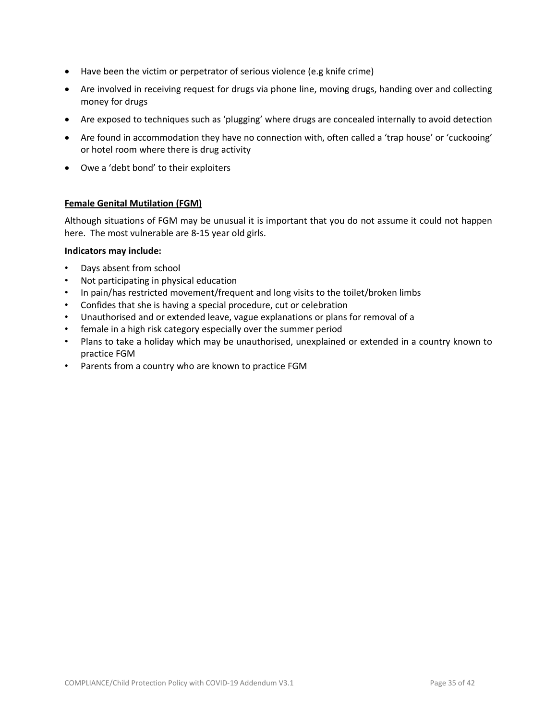- Have been the victim or perpetrator of serious violence (e.g knife crime)
- Are involved in receiving request for drugs via phone line, moving drugs, handing over and collecting money for drugs
- Are exposed to techniques such as 'plugging' where drugs are concealed internally to avoid detection
- Are found in accommodation they have no connection with, often called a 'trap house' or 'cuckooing' or hotel room where there is drug activity
- Owe a 'debt bond' to their exploiters

#### **Female Genital Mutilation (FGM)**

Although situations of FGM may be unusual it is important that you do not assume it could not happen here. The most vulnerable are 8-15 year old girls.

#### **Indicators may include:**

- Days absent from school
- Not participating in physical education
- In pain/has restricted movement/frequent and long visits to the toilet/broken limbs
- Confides that she is having a special procedure, cut or celebration
- Unauthorised and or extended leave, vague explanations or plans for removal of a
- female in a high risk category especially over the summer period
- Plans to take a holiday which may be unauthorised, unexplained or extended in a country known to practice FGM
- Parents from a country who are known to practice FGM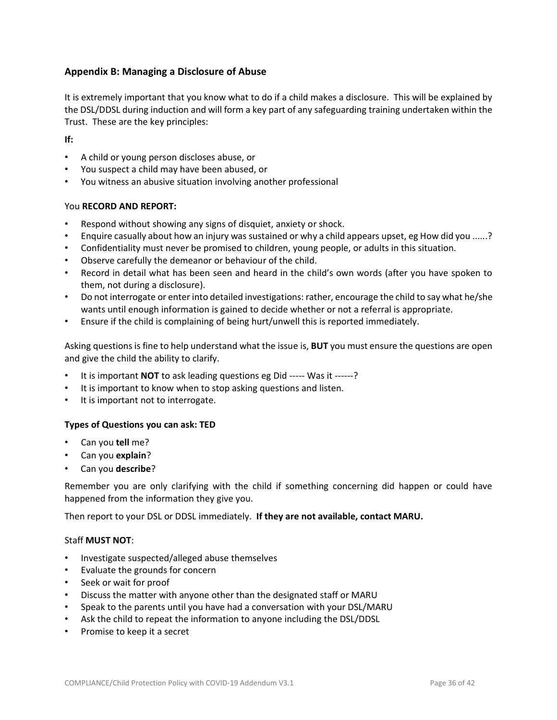## **Appendix B: Managing a Disclosure of Abuse**

It is extremely important that you know what to do if a child makes a disclosure. This will be explained by the DSL/DDSL during induction and will form a key part of any safeguarding training undertaken within the Trust. These are the key principles:

**If:**

- A child or young person discloses abuse, or
- You suspect a child may have been abused, or
- You witness an abusive situation involving another professional

#### You **RECORD AND REPORT:**

- Respond without showing any signs of disquiet, anxiety or shock.
- Enquire casually about how an injury was sustained or why a child appears upset, eg How did you ......?
- Confidentiality must never be promised to children, young people, or adults in this situation.
- Observe carefully the demeanor or behaviour of the child.
- Record in detail what has been seen and heard in the child's own words (after you have spoken to them, not during a disclosure).
- Do not interrogate or enter into detailed investigations: rather, encourage the child to say what he/she wants until enough information is gained to decide whether or not a referral is appropriate.
- Ensure if the child is complaining of being hurt/unwell this is reported immediately.

Asking questions is fine to help understand what the issue is, **BUT** you must ensure the questions are open and give the child the ability to clarify.

- It is important **NOT** to ask leading questions eg Did ----- Was it ------?
- It is important to know when to stop asking questions and listen.
- It is important not to interrogate.

#### **Types of Questions you can ask: TED**

- Can you **tell** me?
- Can you **explain**?
- Can you **describe**?

Remember you are only clarifying with the child if something concerning did happen or could have happened from the information they give you.

Then report to your DSL or DDSL immediately. **If they are not available, contact MARU.**

#### Staff **MUST NOT**:

- Investigate suspected/alleged abuse themselves
- Evaluate the grounds for concern
- Seek or wait for proof
- Discuss the matter with anyone other than the designated staff or MARU
- Speak to the parents until you have had a conversation with your DSL/MARU
- Ask the child to repeat the information to anyone including the DSL/DDSL
- Promise to keep it a secret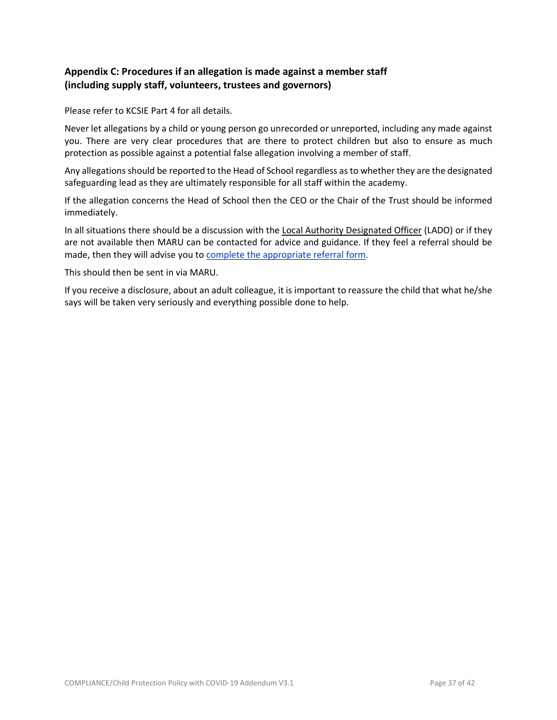## **Appendix C: Procedures if an allegation is made against a member staff (including supply staff, volunteers, trustees and governors)**

Please refer to KCSIE Part 4 for all details.

Never let allegations by a child or young person go unrecorded or unreported, including any made against you. There are very clear procedures that are there to protect children but also to ensure as much protection as possible against a potential false allegation involving a member of staff.

Any allegations should be reported to the Head of School regardless asto whether they are the designated safeguarding lead as they are ultimately responsible for all staff within the academy.

If the allegation concerns the Head of School then the CEO or the Chair of the Trust should be informed immediately.

In all situations there should be a discussion with the Local Authority [Designated](https://www.cornwall.gov.uk/health-and-social-care/childrens-services/child-protection-and-safeguarding/allegations-against-people-who-work-with-children/) Officer (LADO) or if they are not available then MARU can be contacted for advice and guidance. If they feel a referral should be made, then they will advise you to complete the [appropriate](https://ciossafeguarding.org.uk/scp/p/our-policies-and-procedures/referral-forms) referral form.

This should then be sent in via MARU.

If you receive a disclosure, about an adult colleague, it is important to reassure the child that what he/she says will be taken very seriously and everything possible done to help.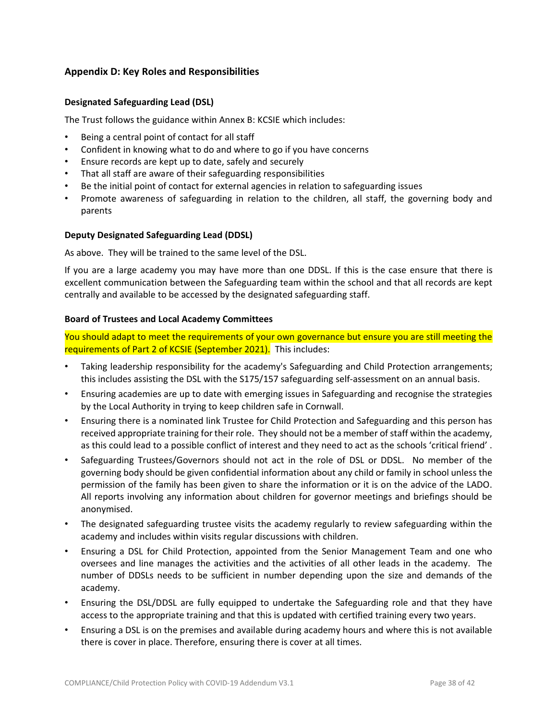## **Appendix D: Key Roles and Responsibilities**

#### **Designated Safeguarding Lead (DSL)**

The Trust follows the guidance within Annex B: KCSIE which includes:

- Being a central point of contact for all staff
- Confident in knowing what to do and where to go if you have concerns
- Ensure records are kept up to date, safely and securely
- That all staff are aware of their safeguarding responsibilities
- Be the initial point of contact for external agencies in relation to safeguarding issues
- Promote awareness of safeguarding in relation to the children, all staff, the governing body and parents

#### **Deputy Designated Safeguarding Lead (DDSL)**

As above. They will be trained to the same level of the DSL.

If you are a large academy you may have more than one DDSL. If this is the case ensure that there is excellent communication between the Safeguarding team within the school and that all records are kept centrally and available to be accessed by the designated safeguarding staff.

#### **Board of Trustees and Local Academy Committees**

You should adapt to meet the requirements of your own governance but ensure you are still meeting the requirements of Part 2 of KCSIE (September 2021). This includes:

- Taking leadership responsibility for the academy's Safeguarding and Child Protection arrangements; this includes assisting the DSL with the S175/157 safeguarding self-assessment on an annual basis.
- Ensuring academies are up to date with emerging issues in Safeguarding and recognise the strategies by the Local Authority in trying to keep children safe in Cornwall.
- Ensuring there is a nominated link Trustee for Child Protection and Safeguarding and this person has received appropriate training for their role. They should not be a member of staff within the academy, as this could lead to a possible conflict of interest and they need to act as the schools 'critical friend' .
- Safeguarding Trustees/Governors should not act in the role of DSL or DDSL. No member of the governing body should be given confidential information about any child or family in school unless the permission of the family has been given to share the information or it is on the advice of the LADO. All reports involving any information about children for governor meetings and briefings should be anonymised.
- The designated safeguarding trustee visits the academy regularly to review safeguarding within the academy and includes within visits regular discussions with children.
- Ensuring a DSL for Child Protection, appointed from the Senior Management Team and one who oversees and line manages the activities and the activities of all other leads in the academy. The number of DDSLs needs to be sufficient in number depending upon the size and demands of the academy.
- Ensuring the DSL/DDSL are fully equipped to undertake the Safeguarding role and that they have access to the appropriate training and that this is updated with certified training every two years.
- Ensuring a DSL is on the premises and available during academy hours and where this is not available there is cover in place. Therefore, ensuring there is cover at all times.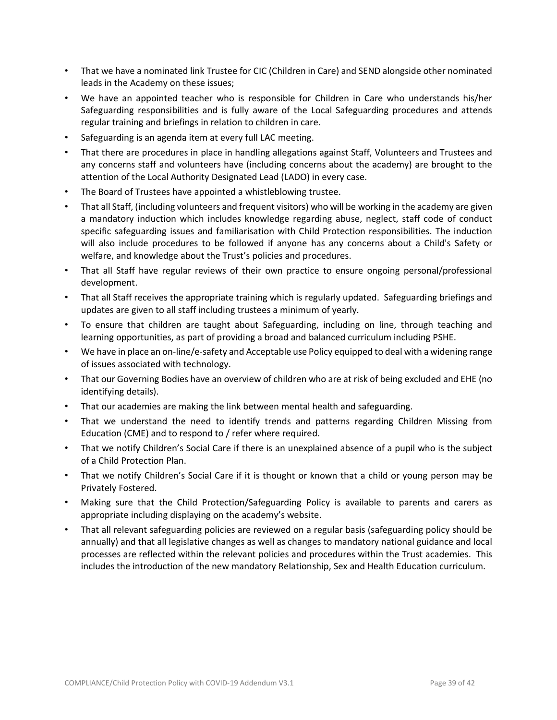- That we have a nominated link Trustee for CIC (Children in Care) and SEND alongside other nominated leads in the Academy on these issues;
- We have an appointed teacher who is responsible for Children in Care who understands his/her Safeguarding responsibilities and is fully aware of the Local Safeguarding procedures and attends regular training and briefings in relation to children in care.
- Safeguarding is an agenda item at every full LAC meeting.
- That there are procedures in place in handling allegations against Staff, Volunteers and Trustees and any concerns staff and volunteers have (including concerns about the academy) are brought to the attention of the Local Authority Designated Lead (LADO) in every case.
- The Board of Trustees have appointed a whistleblowing trustee.
- That all Staff, (including volunteers and frequent visitors) who will be working in the academy are given a mandatory induction which includes knowledge regarding abuse, neglect, staff code of conduct specific safeguarding issues and familiarisation with Child Protection responsibilities. The induction will also include procedures to be followed if anyone has any concerns about a Child's Safety or welfare, and knowledge about the Trust's policies and procedures.
- That all Staff have regular reviews of their own practice to ensure ongoing personal/professional development.
- That all Staff receives the appropriate training which is regularly updated. Safeguarding briefings and updates are given to all staff including trustees a minimum of yearly.
- To ensure that children are taught about Safeguarding, including on line, through teaching and learning opportunities, as part of providing a broad and balanced curriculum including PSHE.
- We have in place an on-line/e-safety and Acceptable use Policy equipped to deal with a widening range of issues associated with technology.
- That our Governing Bodies have an overview of children who are at risk of being excluded and EHE (no identifying details).
- That our academies are making the link between mental health and safeguarding.
- That we understand the need to identify trends and patterns regarding Children Missing from Education (CME) and to respond to / refer where required.
- That we notify Children's Social Care if there is an unexplained absence of a pupil who is the subject of a Child Protection Plan.
- That we notify Children's Social Care if it is thought or known that a child or young person may be Privately Fostered.
- Making sure that the Child Protection/Safeguarding Policy is available to parents and carers as appropriate including displaying on the academy's website.
- That all relevant safeguarding policies are reviewed on a regular basis (safeguarding policy should be annually) and that all legislative changes as well as changes to mandatory national guidance and local processes are reflected within the relevant policies and procedures within the Trust academies. This includes the introduction of the new mandatory Relationship, Sex and Health Education curriculum.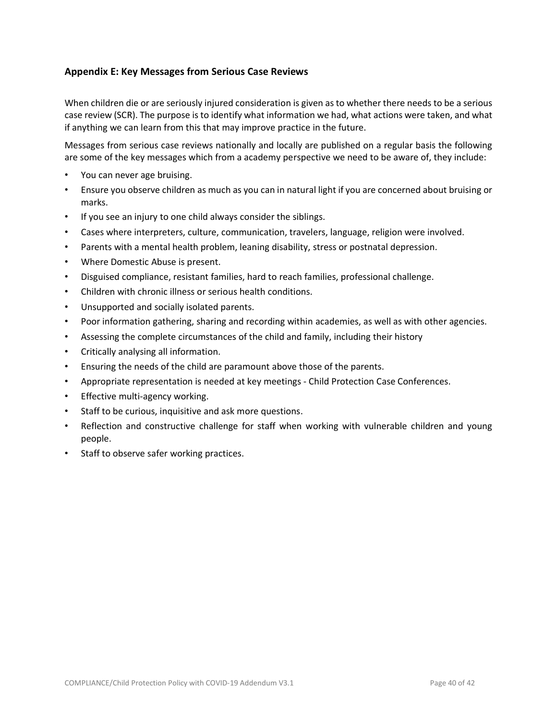## **Appendix E: Key Messages from Serious Case Reviews**

When children die or are seriously injured consideration is given as to whether there needs to be a serious case review (SCR). The purpose is to identify what information we had, what actions were taken, and what if anything we can learn from this that may improve practice in the future.

Messages from serious case reviews nationally and locally are published on a regular basis the following are some of the key messages which from a academy perspective we need to be aware of, they include:

- You can never age bruising.
- Ensure you observe children as much as you can in natural light if you are concerned about bruising or marks.
- If you see an injury to one child always consider the siblings.
- Cases where interpreters, culture, communication, travelers, language, religion were involved.
- Parents with a mental health problem, leaning disability, stress or postnatal depression.
- Where Domestic Abuse is present.
- Disguised compliance, resistant families, hard to reach families, professional challenge.
- Children with chronic illness or serious health conditions.
- Unsupported and socially isolated parents.
- Poor information gathering, sharing and recording within academies, as well as with other agencies.
- Assessing the complete circumstances of the child and family, including their history
- Critically analysing all information.
- Ensuring the needs of the child are paramount above those of the parents.
- Appropriate representation is needed at key meetings Child Protection Case Conferences.
- Effective multi-agency working.
- Staff to be curious, inquisitive and ask more questions.
- Reflection and constructive challenge for staff when working with vulnerable children and young people.
- Staff to observe safer working practices.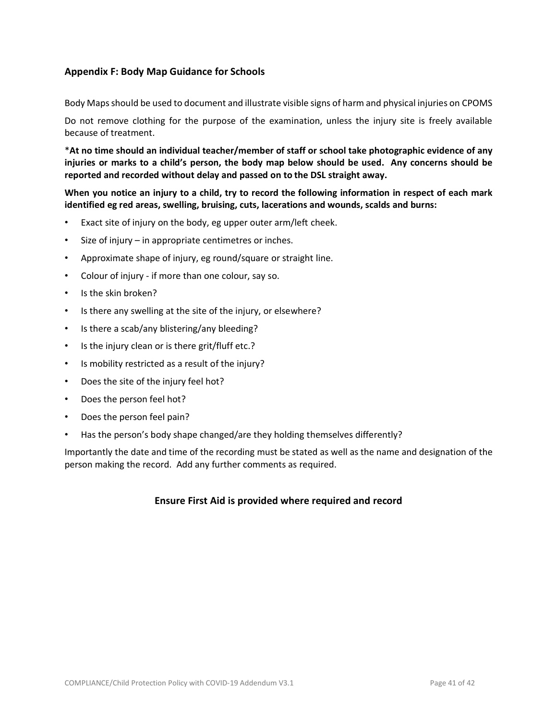## **Appendix F: Body Map Guidance for Schools**

Body Mapsshould be used to document and illustrate visible signs of harm and physical injuries on CPOMS

Do not remove clothing for the purpose of the examination, unless the injury site is freely available because of treatment.

\***At no time should an individual teacher/member of staff or school take photographic evidence of any injuries or marks to a child's person, the body map below should be used. Any concerns should be reported and recorded without delay and passed on to the DSL straight away.** 

When you notice an injury to a child, try to record the following information in respect of each mark **identified eg red areas, swelling, bruising, cuts, lacerations and wounds, scalds and burns:**

- Exact site of injury on the body, eg upper outer arm/left cheek.
- Size of injury in appropriate centimetres or inches.
- Approximate shape of injury, eg round/square or straight line.
- Colour of injury if more than one colour, say so.
- Is the skin broken?
- Is there any swelling at the site of the injury, or elsewhere?
- Is there a scab/any blistering/any bleeding?
- Is the injury clean or is there grit/fluff etc.?
- Is mobility restricted as a result of the injury?
- Does the site of the injury feel hot?
- Does the person feel hot?
- Does the person feel pain?
- Has the person's body shape changed/are they holding themselves differently?

Importantly the date and time of the recording must be stated as well as the name and designation of the person making the record. Add any further comments as required.

#### **Ensure First Aid is provided where required and record**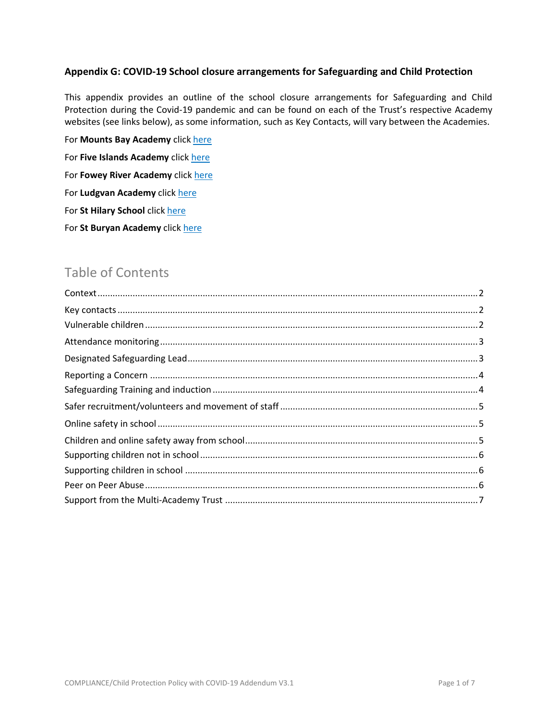#### **Appendix G: COVID-19 School closure arrangements for Safeguarding and Child Protection**

This appendix provides an outline of the school closure arrangements for Safeguarding and Child Protection during the Covid-19 pandemic and can be found on each of the Trust's respective Academy websites (see links below), as some information, such as Key Contacts, will vary between the Academies.

For **Mounts Bay Academy** click [here](http://mountsbay.org/wp-content/uploads/2020/04/Safeguarding-Covid19-web.pdf) For **Five Islands Academy** click [here](https://primarysite-prod-sorted.s3.amazonaws.com/thefiveislandsschoolscilly/UploadedDocument/38a5fa8f5acc4fb7809c2b37793767a3/safeguarding-covid19-addendum.pdf) For **Fowey River Academy** click [here](https://fracademy.org/safeguarding/) For **Ludgvan Academy** click [here](https://dda2214e-15ca-43cd-a6a3-8c240f154235.filesusr.com/ugd/927068_d2a98d7248f24572a8b9c69b0def1c56.pdf) For **St Hilary School** click [here](https://www.st-hilary.cornwall.sch.uk/website/school_policies) For **St Buryan Academy** click [here](http://www.stburyanacademy.com/website/home/240802)

# Table of Contents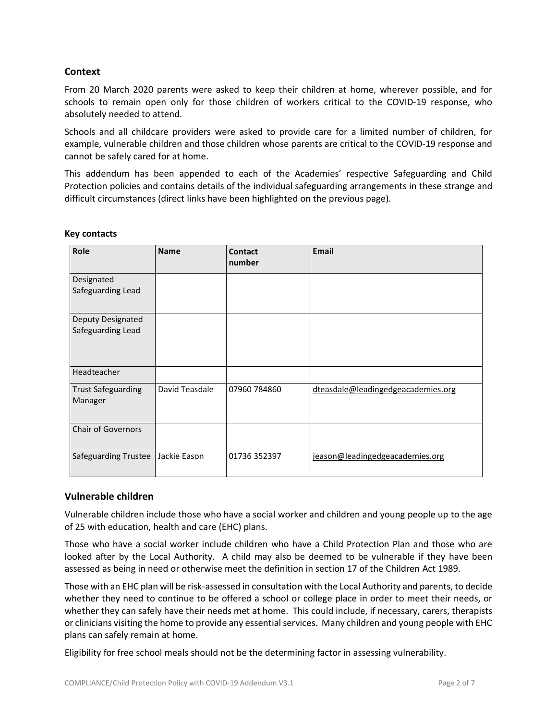## <span id="page-42-0"></span>**Context**

From 20 March 2020 parents were asked to keep their children at home, wherever possible, and for schools to remain open only for those children of workers critical to the COVID-19 response, who absolutely needed to attend.

Schools and all childcare providers were asked to provide care for a limited number of children, for example, vulnerable children and those children whose parents are critical to the COVID-19 response and cannot be safely cared for at home.

This addendum has been appended to each of the Academies' respective Safeguarding and Child Protection policies and contains details of the individual safeguarding arrangements in these strange and difficult circumstances (direct links have been highlighted on the previous page).

| Role                                          | <b>Name</b>    | <b>Contact</b><br>number | <b>Email</b>                       |
|-----------------------------------------------|----------------|--------------------------|------------------------------------|
| Designated<br>Safeguarding Lead               |                |                          |                                    |
| <b>Deputy Designated</b><br>Safeguarding Lead |                |                          |                                    |
| Headteacher                                   |                |                          |                                    |
| <b>Trust Safeguarding</b><br>Manager          | David Teasdale | 07960 784860             | dteasdale@leadingedgeacademies.org |
| <b>Chair of Governors</b>                     |                |                          |                                    |
| Safeguarding Trustee                          | Jackie Eason   | 01736 352397             | jeason@leadingedgeacademies.org    |

#### <span id="page-42-1"></span>**Key contacts**

#### <span id="page-42-2"></span>**Vulnerable children**

Vulnerable children include those who have a social worker and children and young people up to the age of 25 with education, health and care (EHC) plans.

Those who have a social worker include children who have a Child Protection Plan and those who are looked after by the Local Authority. A child may also be deemed to be vulnerable if they have been assessed as being in need or otherwise meet the definition in section 17 of the Children Act 1989.

Those with an EHC plan will be risk-assessed in consultation with the Local Authority and parents, to decide whether they need to continue to be offered a school or college place in order to meet their needs, or whether they can safely have their needs met at home. This could include, if necessary, carers, therapists or clinicians visiting the home to provide any essentialservices. Many children and young people with EHC plans can safely remain at home.

Eligibility for free school meals should not be the determining factor in assessing vulnerability.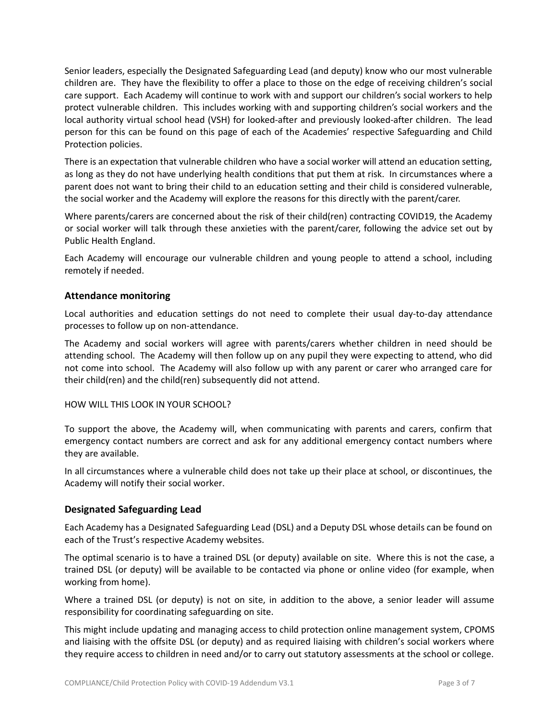Senior leaders, especially the Designated Safeguarding Lead (and deputy) know who our most vulnerable children are. They have the flexibility to offer a place to those on the edge of receiving children's social care support. Each Academy will continue to work with and support our children's social workers to help protect vulnerable children. This includes working with and supporting children's social workers and the local authority virtual school head (VSH) for looked-after and previously looked-after children. The lead person for this can be found on this page of each of the Academies' respective Safeguarding and Child Protection policies.

There is an expectation that vulnerable children who have a social worker will attend an education setting, as long as they do not have underlying health conditions that put them at risk. In circumstances where a parent does not want to bring their child to an education setting and their child is considered vulnerable, the social worker and the Academy will explore the reasons for this directly with the parent/carer.

Where parents/carers are concerned about the risk of their child(ren) contracting COVID19, the Academy or social worker will talk through these anxieties with the parent/carer, following the advice set out by Public Health England.

Each Academy will encourage our vulnerable children and young people to attend a school, including remotely if needed.

## <span id="page-43-0"></span>**Attendance monitoring**

Local authorities and education settings do not need to complete their usual day-to-day attendance processes to follow up on non-attendance.

The Academy and social workers will agree with parents/carers whether children in need should be attending school. The Academy will then follow up on any pupil they were expecting to attend, who did not come into school. The Academy will also follow up with any parent or carer who arranged care for their child(ren) and the child(ren) subsequently did not attend.

## HOW WILL THIS LOOK IN YOUR SCHOOL?

To support the above, the Academy will, when communicating with parents and carers, confirm that emergency contact numbers are correct and ask for any additional emergency contact numbers where they are available.

In all circumstances where a vulnerable child does not take up their place at school, or discontinues, the Academy will notify their social worker.

## <span id="page-43-1"></span>**Designated Safeguarding Lead**

Each Academy has a Designated Safeguarding Lead (DSL) and a Deputy DSL whose details can be found on each of the Trust's respective Academy websites.

The optimal scenario is to have a trained DSL (or deputy) available on site. Where this is not the case, a trained DSL (or deputy) will be available to be contacted via phone or online video (for example, when working from home).

Where a trained DSL (or deputy) is not on site, in addition to the above, a senior leader will assume responsibility for coordinating safeguarding on site.

This might include updating and managing access to child protection online management system, CPOMS and liaising with the offsite DSL (or deputy) and as required liaising with children's social workers where they require access to children in need and/or to carry out statutory assessments at the school or college.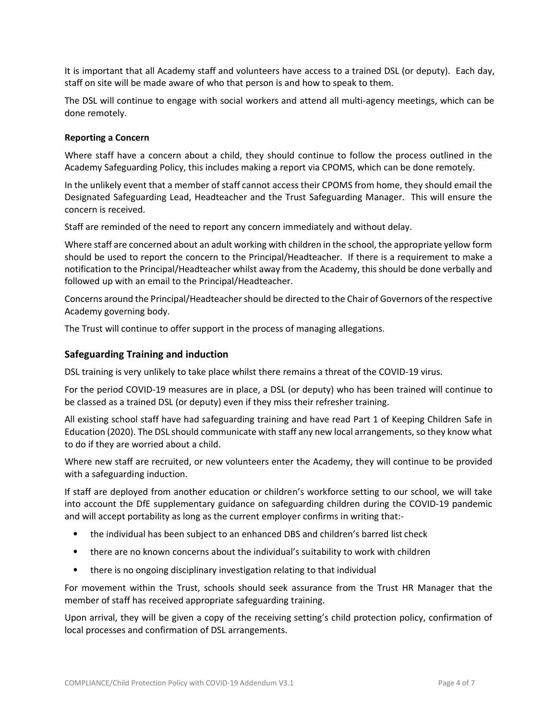It is important that all Academy staff and volunteers have access to a trained DSL (or deputy). Each day, staff on site will be made aware of who that person is and how to speak to them.

The DSL will continue to engage with social workers and attend all multi-agency meetings, which can be done remotely.

#### <span id="page-44-0"></span>**Reporting a Concern**

Where staff have a concern about a child, they should continue to follow the process outlined in the Academy Safeguarding Policy, this includes making a report via CPOMS, which can be done remotely.

In the unlikely event that a member of staff cannot access their CPOMS from home, they should email the Designated Safeguarding Lead, Headteacher and the Trust Safeguarding Manager. This will ensure the concern is received.

Staff are reminded of the need to report any concern immediately and without delay.

Where staff are concerned about an adult working with children in the school, the appropriate yellow form should be used to report the concern to the Principal/Headteacher. If there is a requirement to make a notification to the Principal/Headteacher whilst away from the Academy, this should be done verbally and followed up with an email to the Principal/Headteacher.

Concerns around the Principal/Headteacher should be directed to the Chair of Governors of the respective Academy governing body.

The Trust will continue to offer support in the process of managing allegations.

#### <span id="page-44-1"></span>**Safeguarding Training and induction**

DSL training is very unlikely to take place whilst there remains a threat of the COVID-19 virus.

For the period COVID-19 measures are in place, a DSL (or deputy) who has been trained will continue to be classed as a trained DSL (or deputy) even if they miss their refresher training.

All existing school staff have had safeguarding training and have read Part 1 of Keeping Children Safe in Education (2020). The DSL should communicate with staff any new local arrangements, so they know what to do if they are worried about a child.

Where new staff are recruited, or new volunteers enter the Academy, they will continue to be provided with a safeguarding induction.

If staff are deployed from another education or children's workforce setting to our school, we will take into account the DfE supplementary guidance on safeguarding children during the COVID-19 pandemic and will accept portability as long as the current employer confirms in writing that:-

- the individual has been subject to an enhanced DBS and children's barred list check
- there are no known concerns about the individual's suitability to work with children
- there is no ongoing disciplinary investigation relating to that individual

For movement within the Trust, schools should seek assurance from the Trust HR Manager that the member of staff has received appropriate safeguarding training.

Upon arrival, they will be given a copy of the receiving setting's child protection policy, confirmation of local processes and confirmation of DSL arrangements.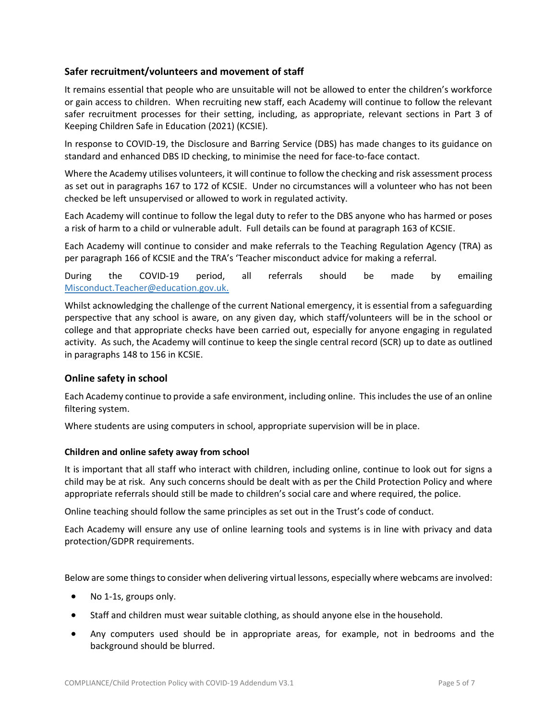## <span id="page-45-0"></span>**Safer recruitment/volunteers and movement of staff**

It remains essential that people who are unsuitable will not be allowed to enter the children's workforce or gain access to children. When recruiting new staff, each Academy will continue to follow the relevant safer recruitment processes for their setting, including, as appropriate, relevant sections in Part 3 of Keeping Children Safe in Education (2021) (KCSIE).

In response to COVID-19, the Disclosure and Barring Service (DBS) has made changes to its guidance on standard and enhanced DBS ID checking, to minimise the need for face-to-face contact.

Where the Academy utilises volunteers, it will continue to follow the checking and risk assessment process as set out in paragraphs 167 to 172 of KCSIE. Under no circumstances will a volunteer who has not been checked be left unsupervised or allowed to work in regulated activity.

Each Academy will continue to follow the legal duty to refer to the DBS anyone who has harmed or poses a risk of harm to a child or vulnerable adult. Full details can be found at paragraph 163 of KCSIE.

Each Academy will continue to consider and make referrals to the Teaching Regulation Agency (TRA) as per paragraph 166 of KCSIE and the TRA's 'Teacher misconduct advice for making a referral.

During the COVID-19 period, all referrals should be made by emailing [Misconduct.Teacher@education.gov.uk.](mailto:Misconduct.Teacher@education.gov.uk)

Whilst acknowledging the challenge of the current National emergency, it is essential from a safeguarding perspective that any school is aware, on any given day, which staff/volunteers will be in the school or college and that appropriate checks have been carried out, especially for anyone engaging in regulated activity. As such, the Academy will continue to keep the single central record (SCR) up to date as outlined in paragraphs 148 to 156 in KCSIE.

#### <span id="page-45-1"></span>**Online safety in school**

Each Academy continue to provide a safe environment, including online. Thisincludes the use of an online filtering system.

Where students are using computers in school, appropriate supervision will be in place.

#### <span id="page-45-2"></span>**Children and online safety away from school**

It is important that all staff who interact with children, including online, continue to look out for signs a child may be at risk. Any such concerns should be dealt with as per the Child Protection Policy and where appropriate referrals should still be made to children's social care and where required, the police.

Online teaching should follow the same principles as set out in the Trust's code of conduct.

Each Academy will ensure any use of online learning tools and systems is in line with privacy and data protection/GDPR requirements.

Below are some thingsto consider when delivering virtual lessons, especially where webcams are involved:

- No 1-1s, groups only.
- Staff and children must wear suitable clothing, as should anyone else in the household.
- Any computers used should be in appropriate areas, for example, not in bedrooms and the background should be blurred.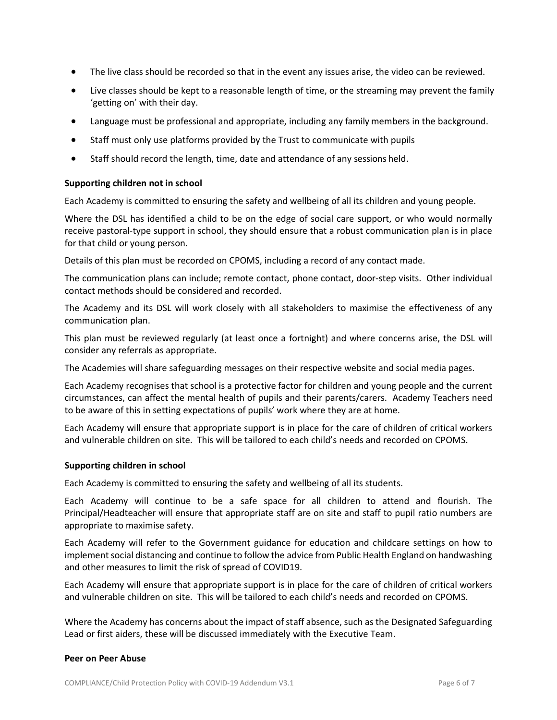- The live class should be recorded so that in the event any issues arise, the video can be reviewed.
- Live classes should be kept to a reasonable length of time, or the streaming may prevent the family 'getting on' with their day.
- Language must be professional and appropriate, including any family members in the background.
- Staff must only use platforms provided by the Trust to communicate with pupils
- Staff should record the length, time, date and attendance of any sessions held.

#### <span id="page-46-0"></span>**Supporting children not in school**

Each Academy is committed to ensuring the safety and wellbeing of all its children and young people.

Where the DSL has identified a child to be on the edge of social care support, or who would normally receive pastoral-type support in school, they should ensure that a robust communication plan is in place for that child or young person.

Details of this plan must be recorded on CPOMS, including a record of any contact made.

The communication plans can include; remote contact, phone contact, door-step visits. Other individual contact methods should be considered and recorded.

The Academy and its DSL will work closely with all stakeholders to maximise the effectiveness of any communication plan.

This plan must be reviewed regularly (at least once a fortnight) and where concerns arise, the DSL will consider any referrals as appropriate.

The Academies will share safeguarding messages on their respective website and social media pages.

Each Academy recognises that school is a protective factor for children and young people and the current circumstances, can affect the mental health of pupils and their parents/carers. Academy Teachers need to be aware of this in setting expectations of pupils' work where they are at home.

Each Academy will ensure that appropriate support is in place for the care of children of critical workers and vulnerable children on site. This will be tailored to each child's needs and recorded on CPOMS.

#### <span id="page-46-1"></span>**Supporting children in school**

Each Academy is committed to ensuring the safety and wellbeing of all its students.

Each Academy will continue to be a safe space for all children to attend and flourish. The Principal/Headteacher will ensure that appropriate staff are on site and staff to pupil ratio numbers are appropriate to maximise safety.

Each Academy will refer to the Government guidance for education and childcare settings on how to implement social distancing and continue to follow the advice from Public Health England on handwashing and other measures to limit the risk of spread of COVID19.

Each Academy will ensure that appropriate support is in place for the care of children of critical workers and vulnerable children on site. This will be tailored to each child's needs and recorded on CPOMS.

Where the Academy has concerns about the impact of staff absence, such as the Designated Safeguarding Lead or first aiders, these will be discussed immediately with the Executive Team.

#### <span id="page-46-2"></span>**Peer on Peer Abuse**